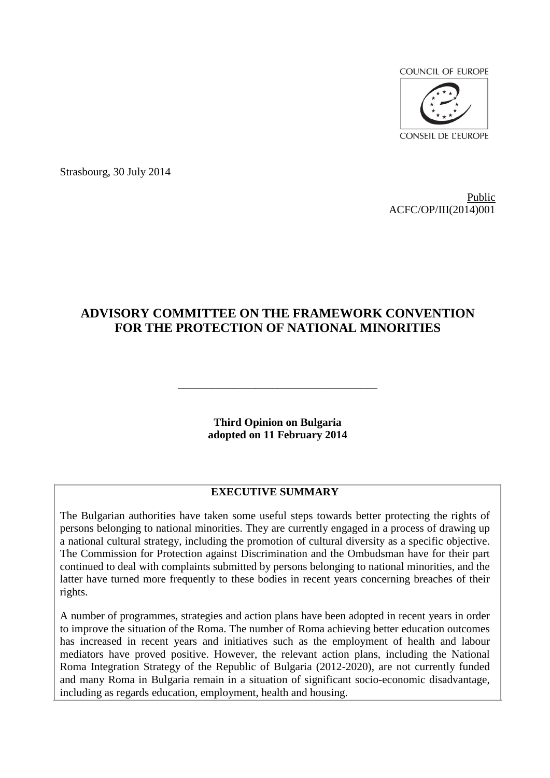**COUNCIL OF EUROPE** 



Strasbourg, 30 July 2014

Public ACFC/OP/III(2014)001

# **ADVISORY COMMITTEE ON THE FRAMEWORK CONVENTION FOR THE PROTECTION OF NATIONAL MINORITIES**

**Third Opinion on Bulgaria adopted on 11 February 2014**

\_\_\_\_\_\_\_\_\_\_\_\_\_\_\_\_\_\_\_\_\_\_\_\_\_\_\_\_\_\_\_\_\_\_\_\_

### **EXECUTIVE SUMMARY**

The Bulgarian authorities have taken some useful steps towards better protecting the rights of persons belonging to national minorities. They are currently engaged in a process of drawing up a national cultural strategy, including the promotion of cultural diversity as a specific objective. The Commission for Protection against Discrimination and the Ombudsman have for their part continued to deal with complaints submitted by persons belonging to national minorities, and the latter have turned more frequently to these bodies in recent years concerning breaches of their rights.

A number of programmes, strategies and action plans have been adopted in recent years in order to improve the situation of the Roma. The number of Roma achieving better education outcomes has increased in recent years and initiatives such as the employment of health and labour mediators have proved positive. However, the relevant action plans, including the National Roma Integration Strategy of the Republic of Bulgaria (2012-2020), are not currently funded and many Roma in Bulgaria remain in a situation of significant socio-economic disadvantage, including as regards education, employment, health and housing.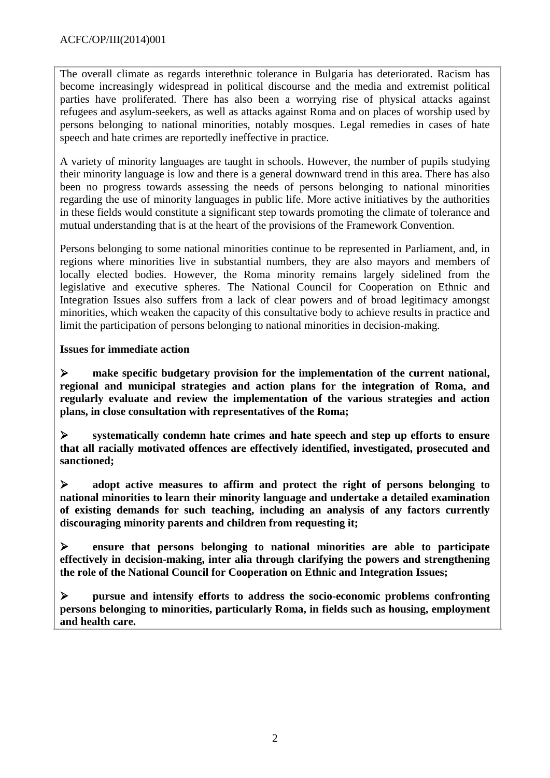The overall climate as regards interethnic tolerance in Bulgaria has deteriorated. Racism has become increasingly widespread in political discourse and the media and extremist political parties have proliferated. There has also been a worrying rise of physical attacks against refugees and asylum-seekers, as well as attacks against Roma and on places of worship used by persons belonging to national minorities, notably mosques. Legal remedies in cases of hate speech and hate crimes are reportedly ineffective in practice.

A variety of minority languages are taught in schools. However, the number of pupils studying their minority language is low and there is a general downward trend in this area. There has also been no progress towards assessing the needs of persons belonging to national minorities regarding the use of minority languages in public life. More active initiatives by the authorities in these fields would constitute a significant step towards promoting the climate of tolerance and mutual understanding that is at the heart of the provisions of the Framework Convention.

Persons belonging to some national minorities continue to be represented in Parliament, and, in regions where minorities live in substantial numbers, they are also mayors and members of locally elected bodies. However, the Roma minority remains largely sidelined from the legislative and executive spheres. The National Council for Cooperation on Ethnic and Integration Issues also suffers from a lack of clear powers and of broad legitimacy amongst minorities, which weaken the capacity of this consultative body to achieve results in practice and limit the participation of persons belonging to national minorities in decision-making.

### **Issues for immediate action**

 **make specific budgetary provision for the implementation of the current national, regional and municipal strategies and action plans for the integration of Roma, and regularly evaluate and review the implementation of the various strategies and action plans, in close consultation with representatives of the Roma;**

 **systematically condemn hate crimes and hate speech and step up efforts to ensure that all racially motivated offences are effectively identified, investigated, prosecuted and sanctioned;**

 **adopt active measures to affirm and protect the right of persons belonging to national minorities to learn their minority language and undertake a detailed examination of existing demands for such teaching, including an analysis of any factors currently discouraging minority parents and children from requesting it;**

 **ensure that persons belonging to national minorities are able to participate effectively in decision-making, inter alia through clarifying the powers and strengthening the role of the National Council for Cooperation on Ethnic and Integration Issues;**

 **pursue and intensify efforts to address the socio-economic problems confronting persons belonging to minorities, particularly Roma, in fields such as housing, employment and health care.**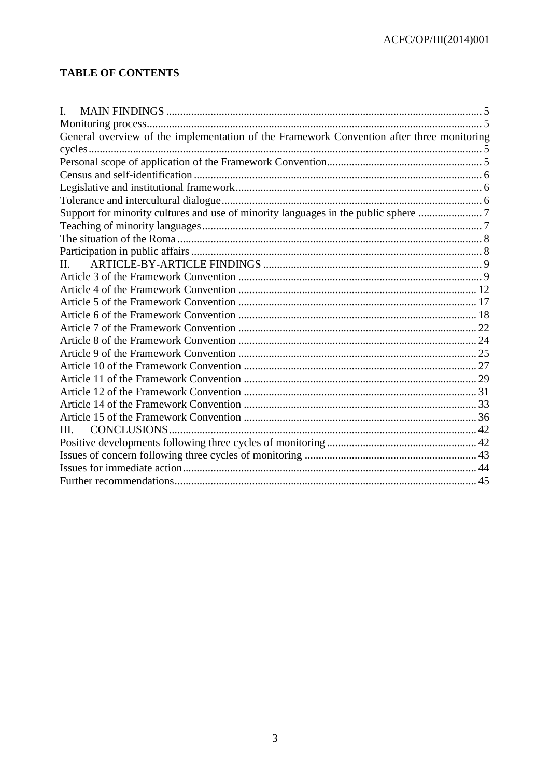# **TABLE OF CONTENTS**

| I.                                                                                        |  |
|-------------------------------------------------------------------------------------------|--|
|                                                                                           |  |
| General overview of the implementation of the Framework Convention after three monitoring |  |
|                                                                                           |  |
|                                                                                           |  |
|                                                                                           |  |
|                                                                                           |  |
|                                                                                           |  |
| Support for minority cultures and use of minority languages in the public sphere 7        |  |
|                                                                                           |  |
|                                                                                           |  |
|                                                                                           |  |
| Н.                                                                                        |  |
|                                                                                           |  |
|                                                                                           |  |
|                                                                                           |  |
|                                                                                           |  |
|                                                                                           |  |
|                                                                                           |  |
|                                                                                           |  |
|                                                                                           |  |
|                                                                                           |  |
|                                                                                           |  |
|                                                                                           |  |
|                                                                                           |  |
| III.                                                                                      |  |
|                                                                                           |  |
|                                                                                           |  |
|                                                                                           |  |
|                                                                                           |  |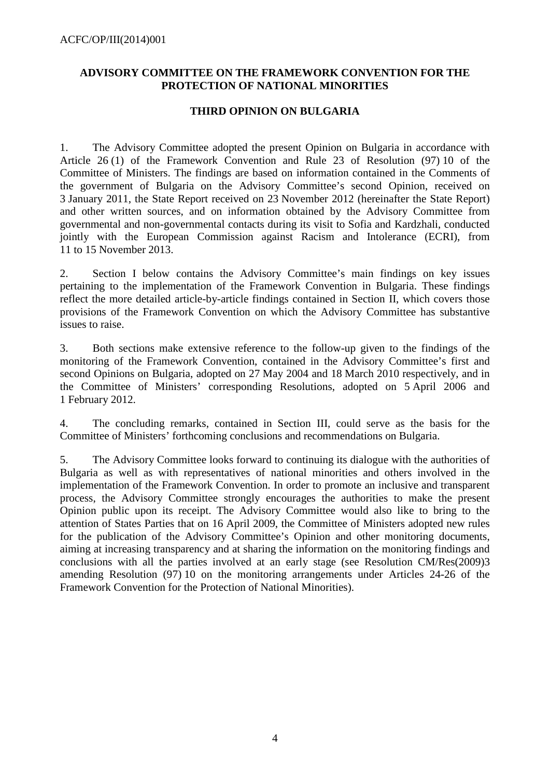### **ADVISORY COMMITTEE ON THE FRAMEWORK CONVENTION FOR THE PROTECTION OF NATIONAL MINORITIES**

### **THIRD OPINION ON BULGARIA**

1. The Advisory Committee adopted the present Opinion on Bulgaria in accordance with Article 26 (1) of the Framework Convention and Rule 23 of Resolution (97) 10 of the Committee of Ministers. The findings are based on information contained in the Comments of the government of Bulgaria on the Advisory Committee's second Opinion, received on 3 January 2011, the State Report received on 23 November 2012 (hereinafter the State Report) and other written sources, and on information obtained by the Advisory Committee from governmental and non-governmental contacts during its visit to Sofia and Kardzhali, conducted jointly with the European Commission against Racism and Intolerance (ECRI), from 11 to 15 November 2013.

2. Section I below contains the Advisory Committee's main findings on key issues pertaining to the implementation of the Framework Convention in Bulgaria. These findings reflect the more detailed article-by-article findings contained in Section II, which covers those provisions of the Framework Convention on which the Advisory Committee has substantive issues to raise.

3. Both sections make extensive reference to the follow-up given to the findings of the monitoring of the Framework Convention, contained in the Advisory Committee's first and second Opinions on Bulgaria, adopted on 27 May 2004 and 18 March 2010 respectively, and in the Committee of Ministers' corresponding Resolutions, adopted on 5 April 2006 and 1 February 2012.

4. The concluding remarks, contained in Section III, could serve as the basis for the Committee of Ministers' forthcoming conclusions and recommendations on Bulgaria.

5. The Advisory Committee looks forward to continuing its dialogue with the authorities of Bulgaria as well as with representatives of national minorities and others involved in the implementation of the Framework Convention. In order to promote an inclusive and transparent process, the Advisory Committee strongly encourages the authorities to make the present Opinion public upon its receipt. The Advisory Committee would also like to bring to the attention of States Parties that on 16 April 2009, the Committee of Ministers adopted new rules for the publication of the Advisory Committee's Opinion and other monitoring documents, aiming at increasing transparency and at sharing the information on the monitoring findings and conclusions with all the parties involved at an early stage (see Resolution CM/Res(2009)3 amending Resolution (97) 10 on the monitoring arrangements under Articles 24-26 of the Framework Convention for the Protection of National Minorities).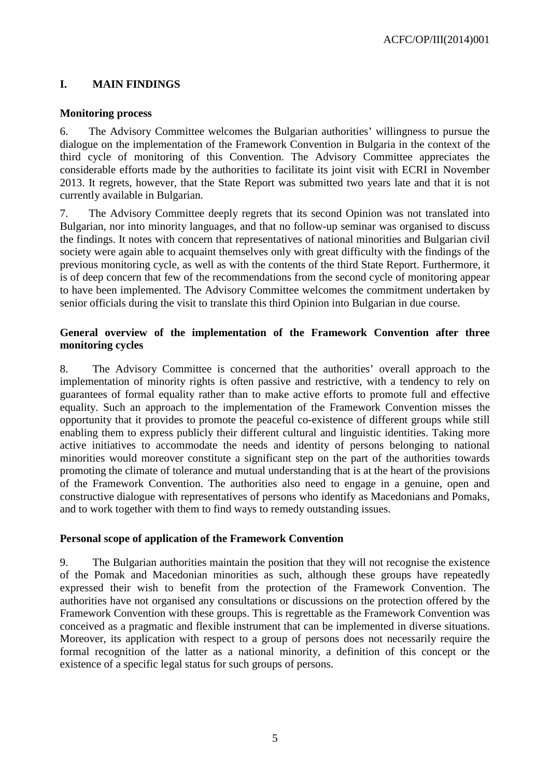# <span id="page-4-0"></span>**I. MAIN FINDINGS**

### <span id="page-4-1"></span>**Monitoring process**

6. The Advisory Committee welcomes the Bulgarian authorities' willingness to pursue the dialogue on the implementation of the Framework Convention in Bulgaria in the context of the third cycle of monitoring of this Convention. The Advisory Committee appreciates the considerable efforts made by the authorities to facilitate its joint visit with ECRI in November 2013. It regrets, however, that the State Report was submitted two years late and that it is not currently available in Bulgarian.

7. The Advisory Committee deeply regrets that its second Opinion was not translated into Bulgarian, nor into minority languages, and that no follow-up seminar was organised to discuss the findings. It notes with concern that representatives of national minorities and Bulgarian civil society were again able to acquaint themselves only with great difficulty with the findings of the previous monitoring cycle, as well as with the contents of the third State Report. Furthermore, it is of deep concern that few of the recommendations from the second cycle of monitoring appear to have been implemented. The Advisory Committee welcomes the commitment undertaken by senior officials during the visit to translate this third Opinion into Bulgarian in due course.

### <span id="page-4-2"></span>**General overview of the implementation of the Framework Convention after three monitoring cycles**

8. The Advisory Committee is concerned that the authorities' overall approach to the implementation of minority rights is often passive and restrictive, with a tendency to rely on guarantees of formal equality rather than to make active efforts to promote full and effective equality. Such an approach to the implementation of the Framework Convention misses the opportunity that it provides to promote the peaceful co-existence of different groups while still enabling them to express publicly their different cultural and linguistic identities. Taking more active initiatives to accommodate the needs and identity of persons belonging to national minorities would moreover constitute a significant step on the part of the authorities towards promoting the climate of tolerance and mutual understanding that is at the heart of the provisions of the Framework Convention. The authorities also need to engage in a genuine, open and constructive dialogue with representatives of persons who identify as Macedonians and Pomaks, and to work together with them to find ways to remedy outstanding issues.

### <span id="page-4-3"></span>**Personal scope of application of the Framework Convention**

9. The Bulgarian authorities maintain the position that they will not recognise the existence of the Pomak and Macedonian minorities as such, although these groups have repeatedly expressed their wish to benefit from the protection of the Framework Convention. The authorities have not organised any consultations or discussions on the protection offered by the Framework Convention with these groups. This is regrettable as the Framework Convention was conceived as a pragmatic and flexible instrument that can be implemented in diverse situations. Moreover, its application with respect to a group of persons does not necessarily require the formal recognition of the latter as a national minority, a definition of this concept or the existence of a specific legal status for such groups of persons.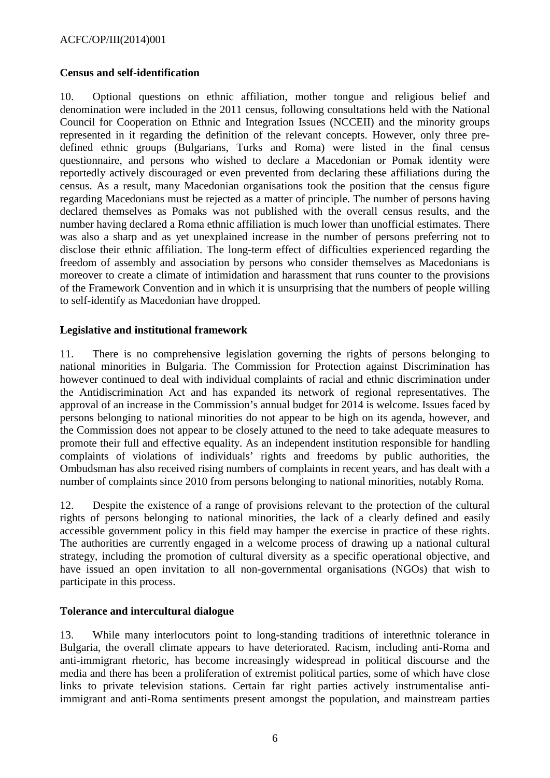### <span id="page-5-0"></span>**Census and self-identification**

10. Optional questions on ethnic affiliation, mother tongue and religious belief and denomination were included in the 2011 census, following consultations held with the National Council for Cooperation on Ethnic and Integration Issues (NCCEII) and the minority groups represented in it regarding the definition of the relevant concepts. However, only three predefined ethnic groups (Bulgarians, Turks and Roma) were listed in the final census questionnaire, and persons who wished to declare a Macedonian or Pomak identity were reportedly actively discouraged or even prevented from declaring these affiliations during the census. As a result, many Macedonian organisations took the position that the census figure regarding Macedonians must be rejected as a matter of principle. The number of persons having declared themselves as Pomaks was not published with the overall census results, and the number having declared a Roma ethnic affiliation is much lower than unofficial estimates. There was also a sharp and as yet unexplained increase in the number of persons preferring not to disclose their ethnic affiliation. The long-term effect of difficulties experienced regarding the freedom of assembly and association by persons who consider themselves as Macedonians is moreover to create a climate of intimidation and harassment that runs counter to the provisions of the Framework Convention and in which it is unsurprising that the numbers of people willing to self-identify as Macedonian have dropped.

### <span id="page-5-1"></span>**Legislative and institutional framework**

11. There is no comprehensive legislation governing the rights of persons belonging to national minorities in Bulgaria. The Commission for Protection against Discrimination has however continued to deal with individual complaints of racial and ethnic discrimination under the Antidiscrimination Act and has expanded its network of regional representatives. The approval of an increase in the Commission's annual budget for 2014 is welcome. Issues faced by persons belonging to national minorities do not appear to be high on its agenda, however, and the Commission does not appear to be closely attuned to the need to take adequate measures to promote their full and effective equality. As an independent institution responsible for handling complaints of violations of individuals' rights and freedoms by public authorities, the Ombudsman has also received rising numbers of complaints in recent years, and has dealt with a number of complaints since 2010 from persons belonging to national minorities, notably Roma.

12. Despite the existence of a range of provisions relevant to the protection of the cultural rights of persons belonging to national minorities, the lack of a clearly defined and easily accessible government policy in this field may hamper the exercise in practice of these rights. The authorities are currently engaged in a welcome process of drawing up a national cultural strategy, including the promotion of cultural diversity as a specific operational objective, and have issued an open invitation to all non-governmental organisations (NGOs) that wish to participate in this process.

### <span id="page-5-2"></span>**Tolerance and intercultural dialogue**

13. While many interlocutors point to long-standing traditions of interethnic tolerance in Bulgaria, the overall climate appears to have deteriorated. Racism, including anti-Roma and anti-immigrant rhetoric, has become increasingly widespread in political discourse and the media and there has been a proliferation of extremist political parties, some of which have close links to private television stations. Certain far right parties actively instrumentalise antiimmigrant and anti-Roma sentiments present amongst the population, and mainstream parties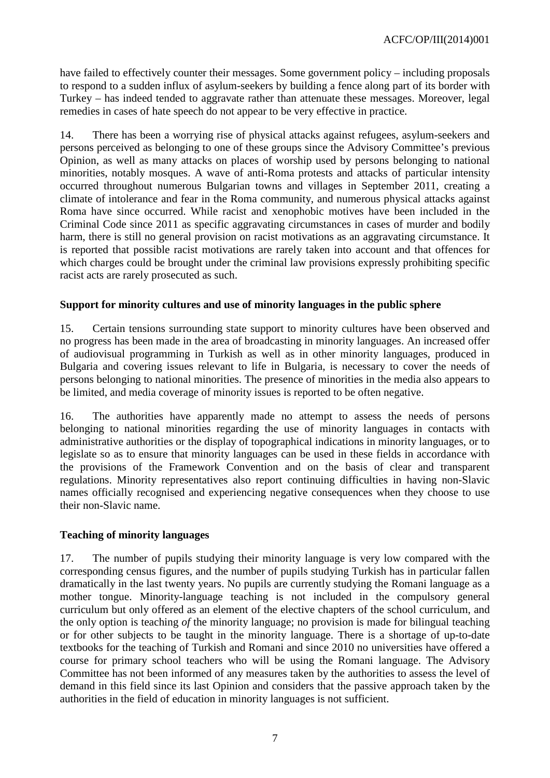have failed to effectively counter their messages. Some government policy – including proposals to respond to a sudden influx of asylum-seekers by building a fence along part of its border with Turkey – has indeed tended to aggravate rather than attenuate these messages. Moreover, legal remedies in cases of hate speech do not appear to be very effective in practice.

14. There has been a worrying rise of physical attacks against refugees, asylum-seekers and persons perceived as belonging to one of these groups since the Advisory Committee's previous Opinion, as well as many attacks on places of worship used by persons belonging to national minorities, notably mosques. A wave of anti-Roma protests and attacks of particular intensity occurred throughout numerous Bulgarian towns and villages in September 2011, creating a climate of intolerance and fear in the Roma community, and numerous physical attacks against Roma have since occurred. While racist and xenophobic motives have been included in the Criminal Code since 2011 as specific aggravating circumstances in cases of murder and bodily harm, there is still no general provision on racist motivations as an aggravating circumstance. It is reported that possible racist motivations are rarely taken into account and that offences for which charges could be brought under the criminal law provisions expressly prohibiting specific racist acts are rarely prosecuted as such.

### <span id="page-6-0"></span>**Support for minority cultures and use of minority languages in the public sphere**

15. Certain tensions surrounding state support to minority cultures have been observed and no progress has been made in the area of broadcasting in minority languages. An increased offer of audiovisual programming in Turkish as well as in other minority languages, produced in Bulgaria and covering issues relevant to life in Bulgaria, is necessary to cover the needs of persons belonging to national minorities. The presence of minorities in the media also appears to be limited, and media coverage of minority issues is reported to be often negative.

16. The authorities have apparently made no attempt to assess the needs of persons belonging to national minorities regarding the use of minority languages in contacts with administrative authorities or the display of topographical indications in minority languages, or to legislate so as to ensure that minority languages can be used in these fields in accordance with the provisions of the Framework Convention and on the basis of clear and transparent regulations. Minority representatives also report continuing difficulties in having non-Slavic names officially recognised and experiencing negative consequences when they choose to use their non-Slavic name.

#### <span id="page-6-1"></span>**Teaching of minority languages**

17. The number of pupils studying their minority language is very low compared with the corresponding census figures, and the number of pupils studying Turkish has in particular fallen dramatically in the last twenty years. No pupils are currently studying the Romani language as a mother tongue. Minority-language teaching is not included in the compulsory general curriculum but only offered as an element of the elective chapters of the school curriculum, and the only option is teaching *of* the minority language; no provision is made for bilingual teaching or for other subjects to be taught in the minority language. There is a shortage of up-to-date textbooks for the teaching of Turkish and Romani and since 2010 no universities have offered a course for primary school teachers who will be using the Romani language. The Advisory Committee has not been informed of any measures taken by the authorities to assess the level of demand in this field since its last Opinion and considers that the passive approach taken by the authorities in the field of education in minority languages is not sufficient.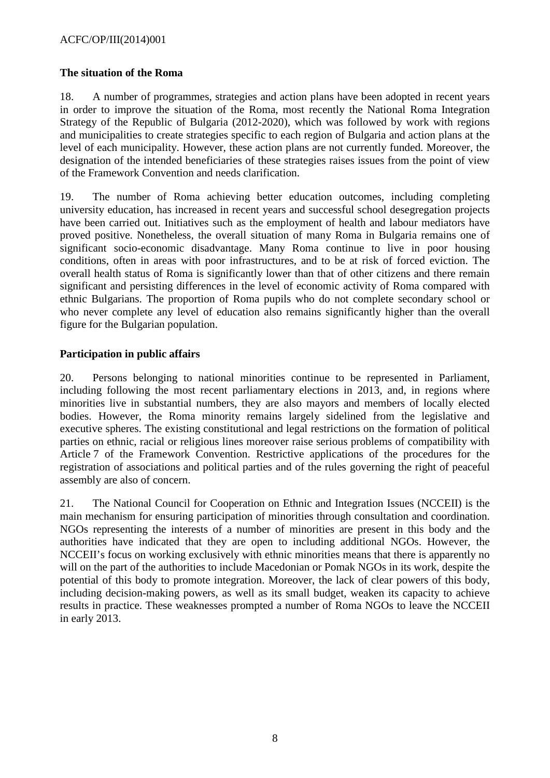### <span id="page-7-0"></span>**The situation of the Roma**

18. A number of programmes, strategies and action plans have been adopted in recent years in order to improve the situation of the Roma, most recently the National Roma Integration Strategy of the Republic of Bulgaria (2012-2020), which was followed by work with regions and municipalities to create strategies specific to each region of Bulgaria and action plans at the level of each municipality. However, these action plans are not currently funded. Moreover, the designation of the intended beneficiaries of these strategies raises issues from the point of view of the Framework Convention and needs clarification.

19. The number of Roma achieving better education outcomes, including completing university education, has increased in recent years and successful school desegregation projects have been carried out. Initiatives such as the employment of health and labour mediators have proved positive. Nonetheless, the overall situation of many Roma in Bulgaria remains one of significant socio-economic disadvantage. Many Roma continue to live in poor housing conditions, often in areas with poor infrastructures, and to be at risk of forced eviction. The overall health status of Roma is significantly lower than that of other citizens and there remain significant and persisting differences in the level of economic activity of Roma compared with ethnic Bulgarians. The proportion of Roma pupils who do not complete secondary school or who never complete any level of education also remains significantly higher than the overall figure for the Bulgarian population.

### <span id="page-7-1"></span>**Participation in public affairs**

20. Persons belonging to national minorities continue to be represented in Parliament, including following the most recent parliamentary elections in 2013, and, in regions where minorities live in substantial numbers, they are also mayors and members of locally elected bodies. However, the Roma minority remains largely sidelined from the legislative and executive spheres. The existing constitutional and legal restrictions on the formation of political parties on ethnic, racial or religious lines moreover raise serious problems of compatibility with Article 7 of the Framework Convention. Restrictive applications of the procedures for the registration of associations and political parties and of the rules governing the right of peaceful assembly are also of concern.

21. The National Council for Cooperation on Ethnic and Integration Issues (NCCEII) is the main mechanism for ensuring participation of minorities through consultation and coordination. NGOs representing the interests of a number of minorities are present in this body and the authorities have indicated that they are open to including additional NGOs. However, the NCCEII's focus on working exclusively with ethnic minorities means that there is apparently no will on the part of the authorities to include Macedonian or Pomak NGOs in its work, despite the potential of this body to promote integration. Moreover, the lack of clear powers of this body, including decision-making powers, as well as its small budget, weaken its capacity to achieve results in practice. These weaknesses prompted a number of Roma NGOs to leave the NCCEII in early 2013.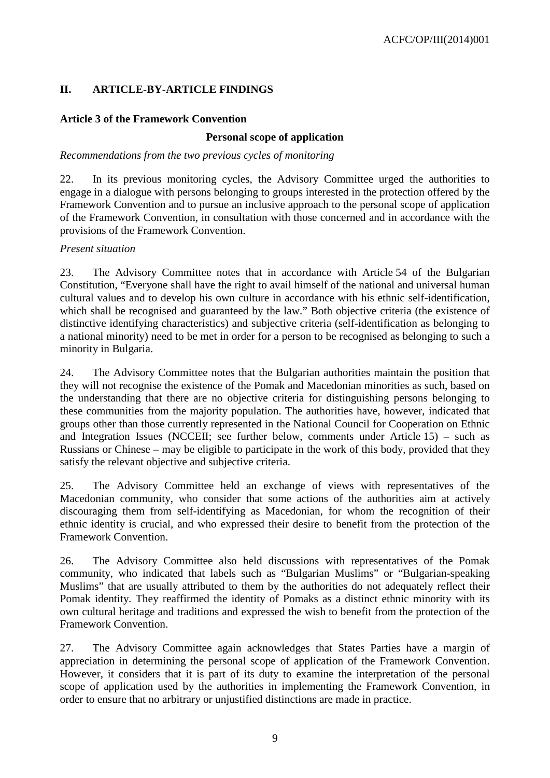# <span id="page-8-0"></span>**II. ARTICLE-BY-ARTICLE FINDINGS**

### <span id="page-8-1"></span>**Article 3 of the Framework Convention**

### **Personal scope of application**

#### *Recommendations from the two previous cycles of monitoring*

22. In its previous monitoring cycles, the Advisory Committee urged the authorities to engage in a dialogue with persons belonging to groups interested in the protection offered by the Framework Convention and to pursue an inclusive approach to the personal scope of application of the Framework Convention, in consultation with those concerned and in accordance with the provisions of the Framework Convention.

### *Present situation*

23. The Advisory Committee notes that in accordance with Article 54 of the Bulgarian Constitution, "Everyone shall have the right to avail himself of the national and universal human cultural values and to develop his own culture in accordance with his ethnic self-identification, which shall be recognised and guaranteed by the law." Both objective criteria (the existence of distinctive identifying characteristics) and subjective criteria (self-identification as belonging to a national minority) need to be met in order for a person to be recognised as belonging to such a minority in Bulgaria.

24. The Advisory Committee notes that the Bulgarian authorities maintain the position that they will not recognise the existence of the Pomak and Macedonian minorities as such, based on the understanding that there are no objective criteria for distinguishing persons belonging to these communities from the majority population. The authorities have, however, indicated that groups other than those currently represented in the National Council for Cooperation on Ethnic and Integration Issues (NCCEII; see further below, comments under Article 15) – such as Russians or Chinese – may be eligible to participate in the work of this body, provided that they satisfy the relevant objective and subjective criteria.

25. The Advisory Committee held an exchange of views with representatives of the Macedonian community, who consider that some actions of the authorities aim at actively discouraging them from self-identifying as Macedonian, for whom the recognition of their ethnic identity is crucial, and who expressed their desire to benefit from the protection of the Framework Convention.

26. The Advisory Committee also held discussions with representatives of the Pomak community, who indicated that labels such as "Bulgarian Muslims" or "Bulgarian-speaking Muslims" that are usually attributed to them by the authorities do not adequately reflect their Pomak identity. They reaffirmed the identity of Pomaks as a distinct ethnic minority with its own cultural heritage and traditions and expressed the wish to benefit from the protection of the Framework Convention.

27. The Advisory Committee again acknowledges that States Parties have a margin of appreciation in determining the personal scope of application of the Framework Convention. However, it considers that it is part of its duty to examine the interpretation of the personal scope of application used by the authorities in implementing the Framework Convention, in order to ensure that no arbitrary or unjustified distinctions are made in practice.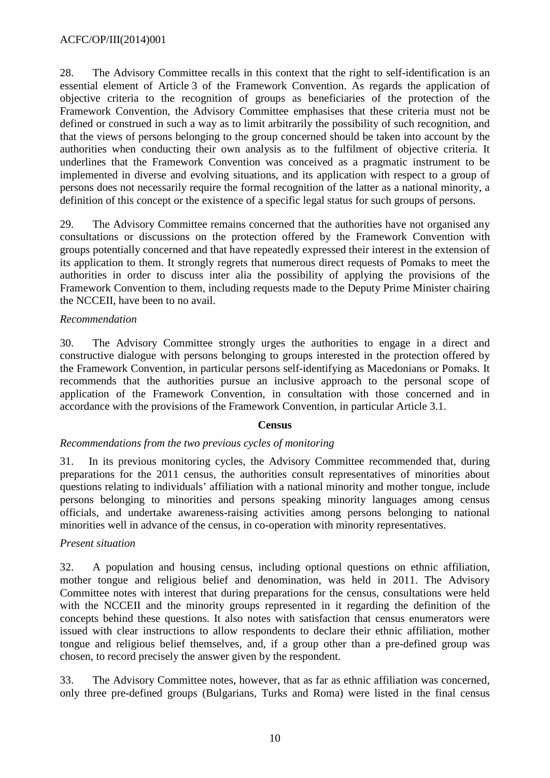28. The Advisory Committee recalls in this context that the right to self-identification is an essential element of Article 3 of the Framework Convention. As regards the application of objective criteria to the recognition of groups as beneficiaries of the protection of the Framework Convention, the Advisory Committee emphasises that these criteria must not be defined or construed in such a way as to limit arbitrarily the possibility of such recognition, and that the views of persons belonging to the group concerned should be taken into account by the authorities when conducting their own analysis as to the fulfilment of objective criteria. It underlines that the Framework Convention was conceived as a pragmatic instrument to be implemented in diverse and evolving situations, and its application with respect to a group of persons does not necessarily require the formal recognition of the latter as a national minority, a definition of this concept or the existence of a specific legal status for such groups of persons.

29. The Advisory Committee remains concerned that the authorities have not organised any consultations or discussions on the protection offered by the Framework Convention with groups potentially concerned and that have repeatedly expressed their interest in the extension of its application to them. It strongly regrets that numerous direct requests of Pomaks to meet the authorities in order to discuss inter alia the possibility of applying the provisions of the Framework Convention to them, including requests made to the Deputy Prime Minister chairing the NCCEII, have been to no avail.

### *Recommendation*

30. The Advisory Committee strongly urges the authorities to engage in a direct and constructive dialogue with persons belonging to groups interested in the protection offered by the Framework Convention, in particular persons self-identifying as Macedonians or Pomaks. It recommends that the authorities pursue an inclusive approach to the personal scope of application of the Framework Convention, in consultation with those concerned and in accordance with the provisions of the Framework Convention, in particular Article 3.1.

#### **Census**

#### *Recommendations from the two previous cycles of monitoring*

31. In its previous monitoring cycles, the Advisory Committee recommended that, during preparations for the 2011 census, the authorities consult representatives of minorities about questions relating to individuals' affiliation with a national minority and mother tongue, include persons belonging to minorities and persons speaking minority languages among census officials, and undertake awareness-raising activities among persons belonging to national minorities well in advance of the census, in co-operation with minority representatives.

#### *Present situation*

32. A population and housing census, including optional questions on ethnic affiliation, mother tongue and religious belief and denomination, was held in 2011. The Advisory Committee notes with interest that during preparations for the census, consultations were held with the NCCEII and the minority groups represented in it regarding the definition of the concepts behind these questions. It also notes with satisfaction that census enumerators were issued with clear instructions to allow respondents to declare their ethnic affiliation, mother tongue and religious belief themselves, and, if a group other than a pre-defined group was chosen, to record precisely the answer given by the respondent.

33. The Advisory Committee notes, however, that as far as ethnic affiliation was concerned, only three pre-defined groups (Bulgarians, Turks and Roma) were listed in the final census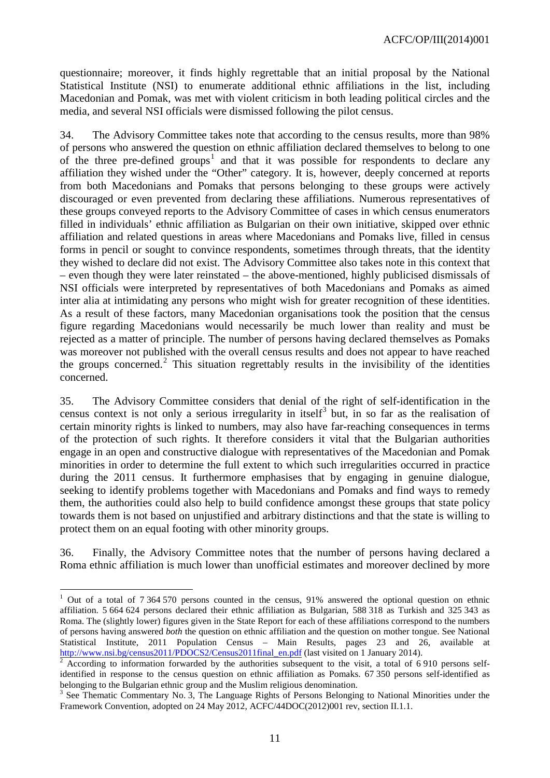questionnaire; moreover, it finds highly regrettable that an initial proposal by the National Statistical Institute (NSI) to enumerate additional ethnic affiliations in the list, including Macedonian and Pomak, was met with violent criticism in both leading political circles and the media, and several NSI officials were dismissed following the pilot census.

34. The Advisory Committee takes note that according to the census results, more than 98% of persons who answered the question on ethnic affiliation declared themselves to belong to one of the three pre-defined groups<sup>[1](#page-10-0)</sup> and that it was possible for respondents to declare any affiliation they wished under the "Other" category. It is, however, deeply concerned at reports from both Macedonians and Pomaks that persons belonging to these groups were actively discouraged or even prevented from declaring these affiliations. Numerous representatives of these groups conveyed reports to the Advisory Committee of cases in which census enumerators filled in individuals' ethnic affiliation as Bulgarian on their own initiative, skipped over ethnic affiliation and related questions in areas where Macedonians and Pomaks live, filled in census forms in pencil or sought to convince respondents, sometimes through threats, that the identity they wished to declare did not exist. The Advisory Committee also takes note in this context that – even though they were later reinstated – the above-mentioned, highly publicised dismissals of NSI officials were interpreted by representatives of both Macedonians and Pomaks as aimed inter alia at intimidating any persons who might wish for greater recognition of these identities. As a result of these factors, many Macedonian organisations took the position that the census figure regarding Macedonians would necessarily be much lower than reality and must be rejected as a matter of principle. The number of persons having declared themselves as Pomaks was moreover not published with the overall census results and does not appear to have reached the groups concerned.<sup>[2](#page-10-1)</sup> This situation regrettably results in the invisibility of the identities concerned.

35. The Advisory Committee considers that denial of the right of self-identification in the census context is not only a serious irregularity in itself<sup>[3](#page-10-2)</sup> but, in so far as the realisation of certain minority rights is linked to numbers, may also have far-reaching consequences in terms of the protection of such rights. It therefore considers it vital that the Bulgarian authorities engage in an open and constructive dialogue with representatives of the Macedonian and Pomak minorities in order to determine the full extent to which such irregularities occurred in practice during the 2011 census. It furthermore emphasises that by engaging in genuine dialogue, seeking to identify problems together with Macedonians and Pomaks and find ways to remedy them, the authorities could also help to build confidence amongst these groups that state policy towards them is not based on unjustified and arbitrary distinctions and that the state is willing to protect them on an equal footing with other minority groups.

36. Finally, the Advisory Committee notes that the number of persons having declared a Roma ethnic affiliation is much lower than unofficial estimates and moreover declined by more

<span id="page-10-0"></span><sup>&</sup>lt;sup>1</sup> Out of a total of 7 364 570 persons counted in the census, 91% answered the optional question on ethnic affiliation. 5 664 624 persons declared their ethnic affiliation as Bulgarian, 588 318 as Turkish and 325 343 as Roma. The (slightly lower) figures given in the State Report for each of these affiliations correspond to the numbers of persons having answered *both* the question on ethnic affiliation and the question on mother tongue. See National Statistical Institute, 2011 Population Census – Main Results, pages 23 and 26, available at http://www.nsi.bg/census2011/PDOCS2/Census2011final en.pdf (last visited on 1 January 2014).  $\overline{a}$ 

<span id="page-10-1"></span>According to information forwarded by the authorities subsequent to the visit, a total of  $6\,910$  persons selfidentified in response to the census question on ethnic affiliation as Pomaks. 67 350 persons self-identified as belonging to the Bulgarian ethnic group and the Muslim religious denomination.

<span id="page-10-2"></span> $3$  See Thematic Commentary No. 3, The Language Rights of Persons Belonging to National Minorities under the Framework Convention, adopted on 24 May 2012, ACFC/44DOC(2012)001 rev, section II.1.1.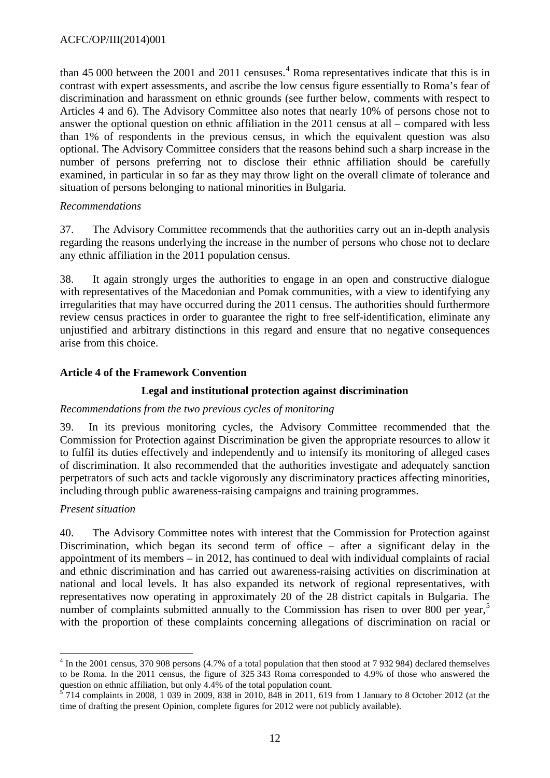than [4](#page-11-1)5 000 between the 2001 and 2011 censuses.<sup>4</sup> Roma representatives indicate that this is in contrast with expert assessments, and ascribe the low census figure essentially to Roma's fear of discrimination and harassment on ethnic grounds (see further below, comments with respect to Articles 4 and 6). The Advisory Committee also notes that nearly 10% of persons chose not to answer the optional question on ethnic affiliation in the 2011 census at all – compared with less than 1% of respondents in the previous census, in which the equivalent question was also optional. The Advisory Committee considers that the reasons behind such a sharp increase in the number of persons preferring not to disclose their ethnic affiliation should be carefully examined, in particular in so far as they may throw light on the overall climate of tolerance and situation of persons belonging to national minorities in Bulgaria.

### *Recommendations*

37. The Advisory Committee recommends that the authorities carry out an in-depth analysis regarding the reasons underlying the increase in the number of persons who chose not to declare any ethnic affiliation in the 2011 population census.

38. It again strongly urges the authorities to engage in an open and constructive dialogue with representatives of the Macedonian and Pomak communities, with a view to identifying any irregularities that may have occurred during the 2011 census. The authorities should furthermore review census practices in order to guarantee the right to free self-identification, eliminate any unjustified and arbitrary distinctions in this regard and ensure that no negative consequences arise from this choice.

### <span id="page-11-0"></span>**Article 4 of the Framework Convention**

### **Legal and institutional protection against discrimination**

#### *Recommendations from the two previous cycles of monitoring*

39. In its previous monitoring cycles, the Advisory Committee recommended that the Commission for Protection against Discrimination be given the appropriate resources to allow it to fulfil its duties effectively and independently and to intensify its monitoring of alleged cases of discrimination. It also recommended that the authorities investigate and adequately sanction perpetrators of such acts and tackle vigorously any discriminatory practices affecting minorities, including through public awareness-raising campaigns and training programmes.

#### *Present situation*

40. The Advisory Committee notes with interest that the Commission for Protection against Discrimination, which began its second term of office – after a significant delay in the appointment of its members – in 2012, has continued to deal with individual complaints of racial and ethnic discrimination and has carried out awareness-raising activities on discrimination at national and local levels. It has also expanded its network of regional representatives, with representatives now operating in approximately 20 of the 28 district capitals in Bulgaria. The number of complaints submitted annually to the Commission has risen to over 800 per year,<sup>[5](#page-11-2)</sup> with the proportion of these complaints concerning allegations of discrimination on racial or

<span id="page-11-1"></span> $4$  In the 2001 census, 370 908 persons (4.7% of a total population that then stood at 7 932 984) declared themselves to be Roma. In the 2011 census, the figure of 325 343 Roma corresponded to 4.9% of those who answered the question on ethnic affiliation, but only 4.4% of the total population count.  $\overline{a}$ 

<span id="page-11-2"></span><sup>5</sup> 714 complaints in 2008, 1 039 in 2009, 838 in 2010, 848 in 2011, 619 from 1 January to 8 October 2012 (at the time of drafting the present Opinion, complete figures for 2012 were not publicly available).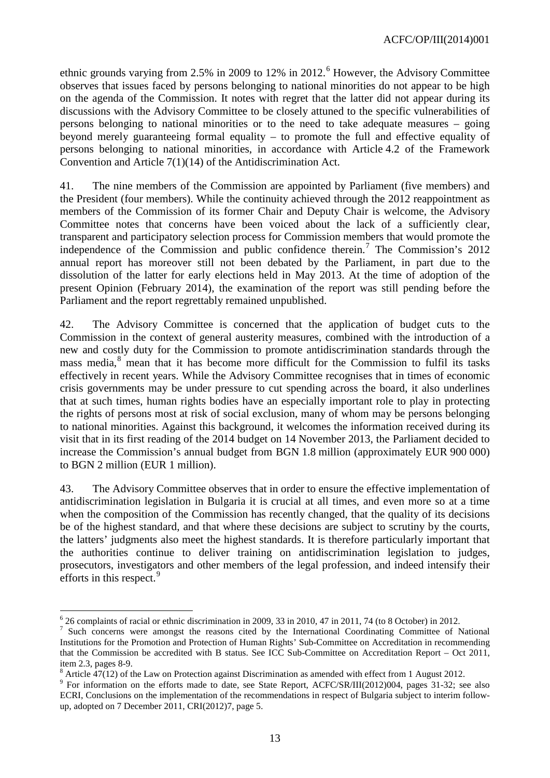ethnic grounds varying from 2.5% in 2009 to 12% in 2012.<sup>[6](#page-12-0)</sup> However, the Advisory Committee observes that issues faced by persons belonging to national minorities do not appear to be high on the agenda of the Commission. It notes with regret that the latter did not appear during its discussions with the Advisory Committee to be closely attuned to the specific vulnerabilities of persons belonging to national minorities or to the need to take adequate measures – going beyond merely guaranteeing formal equality – to promote the full and effective equality of persons belonging to national minorities, in accordance with Article 4.2 of the Framework Convention and Article 7(1)(14) of the Antidiscrimination Act.

41. The nine members of the Commission are appointed by Parliament (five members) and the President (four members). While the continuity achieved through the 2012 reappointment as members of the Commission of its former Chair and Deputy Chair is welcome, the Advisory Committee notes that concerns have been voiced about the lack of a sufficiently clear, transparent and participatory selection process for Commission members that would promote the independence of the Commission and public confidence therein.<sup>[7](#page-12-1)</sup> The Commission's 2012 annual report has moreover still not been debated by the Parliament, in part due to the dissolution of the latter for early elections held in May 2013. At the time of adoption of the present Opinion (February 2014), the examination of the report was still pending before the Parliament and the report regrettably remained unpublished.

42. The Advisory Committee is concerned that the application of budget cuts to the Commission in the context of general austerity measures, combined with the introduction of a new and costly duty for the Commission to promote antidiscrimination standards through the mass media, $8$  mean that it has become more difficult for the Commission to fulfil its tasks effectively in recent years. While the Advisory Committee recognises that in times of economic crisis governments may be under pressure to cut spending across the board, it also underlines that at such times, human rights bodies have an especially important role to play in protecting the rights of persons most at risk of social exclusion, many of whom may be persons belonging to national minorities. Against this background, it welcomes the information received during its visit that in its first reading of the 2014 budget on 14 November 2013, the Parliament decided to increase the Commission's annual budget from BGN 1.8 million (approximately EUR 900 000) to BGN 2 million (EUR 1 million).

43. The Advisory Committee observes that in order to ensure the effective implementation of antidiscrimination legislation in Bulgaria it is crucial at all times, and even more so at a time when the composition of the Commission has recently changed, that the quality of its decisions be of the highest standard, and that where these decisions are subject to scrutiny by the courts, the latters' judgments also meet the highest standards. It is therefore particularly important that the authorities continue to deliver training on antidiscrimination legislation to judges, prosecutors, investigators and other members of the legal profession, and indeed intensify their efforts in this respect.<sup>[9](#page-12-3)</sup>

 $\overline{\phantom{a}}$ 

<span id="page-12-1"></span><span id="page-12-0"></span><sup>&</sup>lt;sup>6</sup> 26 complaints of racial or ethnic discrimination in 2009, 33 in 2010, 47 in 2011, 74 (to 8 October) in 2012.<br><sup>7</sup> Such concerns were amongst the reasons cited by the International Coordinating Committee of National Institutions for the Promotion and Protection of Human Rights' Sub-Committee on Accreditation in recommending that the Commission be accredited with B status. See ICC Sub-Committee on Accreditation Report – Oct 2011,

<span id="page-12-2"></span>item 2.3, pages 8-9.<br>
<sup>8</sup> Article 47(12) of the Law on Protection against Discrimination as amended with effect from 1 August 2012.<br>
<sup>9</sup> For information on the efforts made to date, see State Report, ACFC/SR/III(2012)004,

<span id="page-12-3"></span>ECRI, Conclusions on the implementation of the recommendations in respect of Bulgaria subject to interim followup, adopted on 7 December 2011, CRI(2012)7, page 5.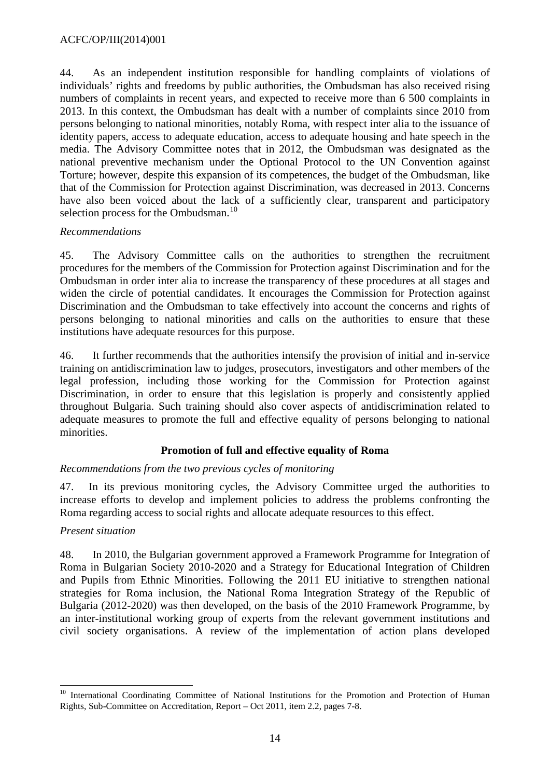44. As an independent institution responsible for handling complaints of violations of individuals' rights and freedoms by public authorities, the Ombudsman has also received rising numbers of complaints in recent years, and expected to receive more than 6 500 complaints in 2013. In this context, the Ombudsman has dealt with a number of complaints since 2010 from persons belonging to national minorities, notably Roma, with respect inter alia to the issuance of identity papers, access to adequate education, access to adequate housing and hate speech in the media. The Advisory Committee notes that in 2012, the Ombudsman was designated as the national preventive mechanism under the Optional Protocol to the UN Convention against Torture; however, despite this expansion of its competences, the budget of the Ombudsman, like that of the Commission for Protection against Discrimination, was decreased in 2013. Concerns have also been voiced about the lack of a sufficiently clear, transparent and participatory selection process for the Ombudsman.<sup>[10](#page-13-0)</sup>

### *Recommendations*

45. The Advisory Committee calls on the authorities to strengthen the recruitment procedures for the members of the Commission for Protection against Discrimination and for the Ombudsman in order inter alia to increase the transparency of these procedures at all stages and widen the circle of potential candidates. It encourages the Commission for Protection against Discrimination and the Ombudsman to take effectively into account the concerns and rights of persons belonging to national minorities and calls on the authorities to ensure that these institutions have adequate resources for this purpose.

46. It further recommends that the authorities intensify the provision of initial and in-service training on antidiscrimination law to judges, prosecutors, investigators and other members of the legal profession, including those working for the Commission for Protection against Discrimination, in order to ensure that this legislation is properly and consistently applied throughout Bulgaria. Such training should also cover aspects of antidiscrimination related to adequate measures to promote the full and effective equality of persons belonging to national minorities.

### **Promotion of full and effective equality of Roma**

### *Recommendations from the two previous cycles of monitoring*

47. In its previous monitoring cycles, the Advisory Committee urged the authorities to increase efforts to develop and implement policies to address the problems confronting the Roma regarding access to social rights and allocate adequate resources to this effect.

#### *Present situation*

48. In 2010, the Bulgarian government approved a Framework Programme for Integration of Roma in Bulgarian Society 2010-2020 and a Strategy for Educational Integration of Children and Pupils from Ethnic Minorities. Following the 2011 EU initiative to strengthen national strategies for Roma inclusion, the National Roma Integration Strategy of the Republic of Bulgaria (2012-2020) was then developed, on the basis of the 2010 Framework Programme, by an inter-institutional working group of experts from the relevant government institutions and civil society organisations. A review of the implementation of action plans developed

<span id="page-13-0"></span><sup>&</sup>lt;sup>10</sup> International Coordinating Committee of National Institutions for the Promotion and Protection of Human Rights, Sub-Committee on Accreditation, Report – Oct 2011, item 2.2, pages 7-8.  $\overline{a}$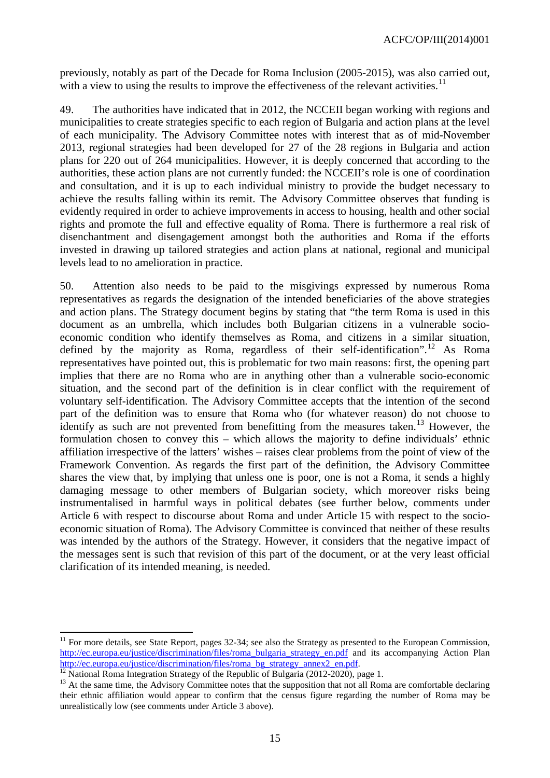previously, notably as part of the Decade for Roma Inclusion (2005-2015), was also carried out, with a view to using the results to improve the effectiveness of the relevant activities.<sup>[11](#page-14-0)</sup>

49. The authorities have indicated that in 2012, the NCCEII began working with regions and municipalities to create strategies specific to each region of Bulgaria and action plans at the level of each municipality. The Advisory Committee notes with interest that as of mid-November 2013, regional strategies had been developed for 27 of the 28 regions in Bulgaria and action plans for 220 out of 264 municipalities. However, it is deeply concerned that according to the authorities, these action plans are not currently funded: the NCCEII's role is one of coordination and consultation, and it is up to each individual ministry to provide the budget necessary to achieve the results falling within its remit. The Advisory Committee observes that funding is evidently required in order to achieve improvements in access to housing, health and other social rights and promote the full and effective equality of Roma. There is furthermore a real risk of disenchantment and disengagement amongst both the authorities and Roma if the efforts invested in drawing up tailored strategies and action plans at national, regional and municipal levels lead to no amelioration in practice.

50. Attention also needs to be paid to the misgivings expressed by numerous Roma representatives as regards the designation of the intended beneficiaries of the above strategies and action plans. The Strategy document begins by stating that "the term Roma is used in this document as an umbrella, which includes both Bulgarian citizens in a vulnerable socioeconomic condition who identify themselves as Roma, and citizens in a similar situation, defined by the majority as Roma, regardless of their self-identification".<sup>[12](#page-14-1)</sup> As Roma representatives have pointed out, this is problematic for two main reasons: first, the opening part implies that there are no Roma who are in anything other than a vulnerable socio-economic situation, and the second part of the definition is in clear conflict with the requirement of voluntary self-identification. The Advisory Committee accepts that the intention of the second part of the definition was to ensure that Roma who (for whatever reason) do not choose to identify as such are not prevented from benefitting from the measures taken.<sup>[13](#page-14-2)</sup> However, the formulation chosen to convey this – which allows the majority to define individuals' ethnic affiliation irrespective of the latters' wishes – raises clear problems from the point of view of the Framework Convention. As regards the first part of the definition, the Advisory Committee shares the view that, by implying that unless one is poor, one is not a Roma, it sends a highly damaging message to other members of Bulgarian society, which moreover risks being instrumentalised in harmful ways in political debates (see further below, comments under Article 6 with respect to discourse about Roma and under Article 15 with respect to the socioeconomic situation of Roma). The Advisory Committee is convinced that neither of these results was intended by the authors of the Strategy. However, it considers that the negative impact of the messages sent is such that revision of this part of the document, or at the very least official clarification of its intended meaning, is needed.

 $\overline{a}$ 

<span id="page-14-0"></span><sup>11</sup> For more details, see State Report, pages 32-34; see also the Strategy as presented to the European Commission, [http://ec.europa.eu/justice/discrimination/files/roma\\_bulgaria\\_strategy\\_en.pdf](http://ec.europa.eu/justice/discrimination/files/roma_bulgaria_strategy_en.pdf) and its accompanying Action Plan<br>http://ec.europa.eu/justice/discrimination/files/roma\_bg\_strategy\_annex2\_en.pdf.

<span id="page-14-2"></span><span id="page-14-1"></span><sup>&</sup>lt;sup>[12](http://ec.europa.eu/justice/discrimination/files/roma_bg_strategy_annex2_en.pdf)</sup> National Roma Integration Strategy of the Republic of Bulgaria (2012-2020), page 1.<br><sup>13</sup> At the same time, the Advisory Committee notes that the supposition that not all Roma are comfortable declaring their ethnic affiliation would appear to confirm that the census figure regarding the number of Roma may be unrealistically low (see comments under Article 3 above).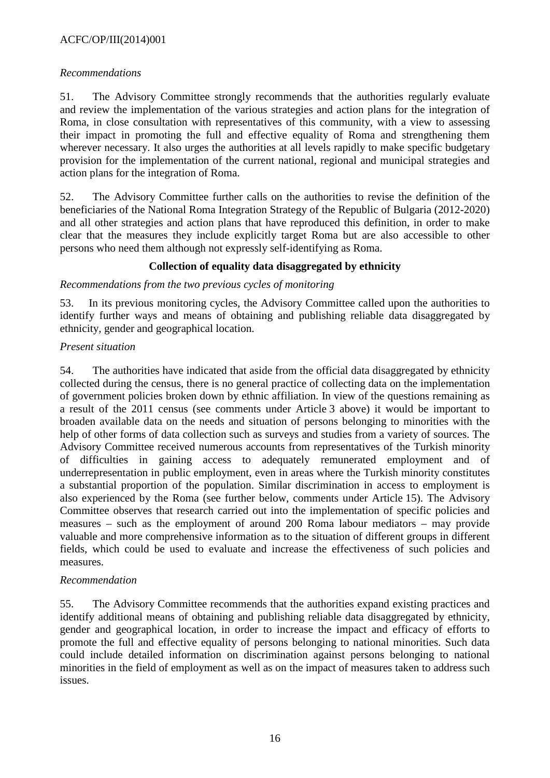### ACFC/OP/III(2014)001

### *Recommendations*

51. The Advisory Committee strongly recommends that the authorities regularly evaluate and review the implementation of the various strategies and action plans for the integration of Roma, in close consultation with representatives of this community, with a view to assessing their impact in promoting the full and effective equality of Roma and strengthening them wherever necessary. It also urges the authorities at all levels rapidly to make specific budgetary provision for the implementation of the current national, regional and municipal strategies and action plans for the integration of Roma.

52. The Advisory Committee further calls on the authorities to revise the definition of the beneficiaries of the National Roma Integration Strategy of the Republic of Bulgaria (2012-2020) and all other strategies and action plans that have reproduced this definition, in order to make clear that the measures they include explicitly target Roma but are also accessible to other persons who need them although not expressly self-identifying as Roma.

# **Collection of equality data disaggregated by ethnicity**

### *Recommendations from the two previous cycles of monitoring*

53. In its previous monitoring cycles, the Advisory Committee called upon the authorities to identify further ways and means of obtaining and publishing reliable data disaggregated by ethnicity, gender and geographical location.

### *Present situation*

54. The authorities have indicated that aside from the official data disaggregated by ethnicity collected during the census, there is no general practice of collecting data on the implementation of government policies broken down by ethnic affiliation. In view of the questions remaining as a result of the 2011 census (see comments under Article 3 above) it would be important to broaden available data on the needs and situation of persons belonging to minorities with the help of other forms of data collection such as surveys and studies from a variety of sources. The Advisory Committee received numerous accounts from representatives of the Turkish minority of difficulties in gaining access to adequately remunerated employment and of underrepresentation in public employment, even in areas where the Turkish minority constitutes a substantial proportion of the population. Similar discrimination in access to employment is also experienced by the Roma (see further below, comments under Article 15). The Advisory Committee observes that research carried out into the implementation of specific policies and measures – such as the employment of around 200 Roma labour mediators – may provide valuable and more comprehensive information as to the situation of different groups in different fields, which could be used to evaluate and increase the effectiveness of such policies and measures.

### *Recommendation*

55. The Advisory Committee recommends that the authorities expand existing practices and identify additional means of obtaining and publishing reliable data disaggregated by ethnicity, gender and geographical location, in order to increase the impact and efficacy of efforts to promote the full and effective equality of persons belonging to national minorities. Such data could include detailed information on discrimination against persons belonging to national minorities in the field of employment as well as on the impact of measures taken to address such issues.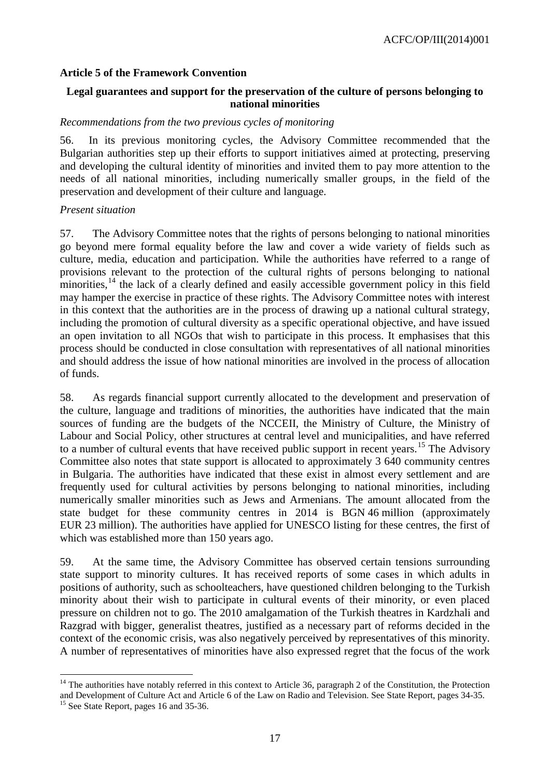### <span id="page-16-0"></span>**Article 5 of the Framework Convention**

### **Legal guarantees and support for the preservation of the culture of persons belonging to national minorities**

#### *Recommendations from the two previous cycles of monitoring*

56. In its previous monitoring cycles, the Advisory Committee recommended that the Bulgarian authorities step up their efforts to support initiatives aimed at protecting, preserving and developing the cultural identity of minorities and invited them to pay more attention to the needs of all national minorities, including numerically smaller groups, in the field of the preservation and development of their culture and language.

#### *Present situation*

57. The Advisory Committee notes that the rights of persons belonging to national minorities go beyond mere formal equality before the law and cover a wide variety of fields such as culture, media, education and participation. While the authorities have referred to a range of provisions relevant to the protection of the cultural rights of persons belonging to national minorities, $14$  the lack of a clearly defined and easily accessible government policy in this field may hamper the exercise in practice of these rights. The Advisory Committee notes with interest in this context that the authorities are in the process of drawing up a national cultural strategy, including the promotion of cultural diversity as a specific operational objective, and have issued an open invitation to all NGOs that wish to participate in this process. It emphasises that this process should be conducted in close consultation with representatives of all national minorities and should address the issue of how national minorities are involved in the process of allocation of funds.

58. As regards financial support currently allocated to the development and preservation of the culture, language and traditions of minorities, the authorities have indicated that the main sources of funding are the budgets of the NCCEII, the Ministry of Culture, the Ministry of Labour and Social Policy, other structures at central level and municipalities, and have referred to a number of cultural events that have received public support in recent years.<sup>[15](#page-16-2)</sup> The Advisory Committee also notes that state support is allocated to approximately 3 640 community centres in Bulgaria. The authorities have indicated that these exist in almost every settlement and are frequently used for cultural activities by persons belonging to national minorities, including numerically smaller minorities such as Jews and Armenians. The amount allocated from the state budget for these community centres in 2014 is BGN 46 million (approximately EUR 23 million). The authorities have applied for UNESCO listing for these centres, the first of which was established more than 150 years ago.

59. At the same time, the Advisory Committee has observed certain tensions surrounding state support to minority cultures. It has received reports of some cases in which adults in positions of authority, such as schoolteachers, have questioned children belonging to the Turkish minority about their wish to participate in cultural events of their minority, or even placed pressure on children not to go. The 2010 amalgamation of the Turkish theatres in Kardzhali and Razgrad with bigger, generalist theatres, justified as a necessary part of reforms decided in the context of the economic crisis, was also negatively perceived by representatives of this minority. A number of representatives of minorities have also expressed regret that the focus of the work

-

<span id="page-16-1"></span> $14$  The authorities have notably referred in this context to Article 36, paragraph 2 of the Constitution, the Protection and Development of Culture Act and Article 6 of the Law on Radio and Television. See State Report, pages 34-35. <sup>15</sup> See State Report, pages 16 and 35-36.

<span id="page-16-2"></span>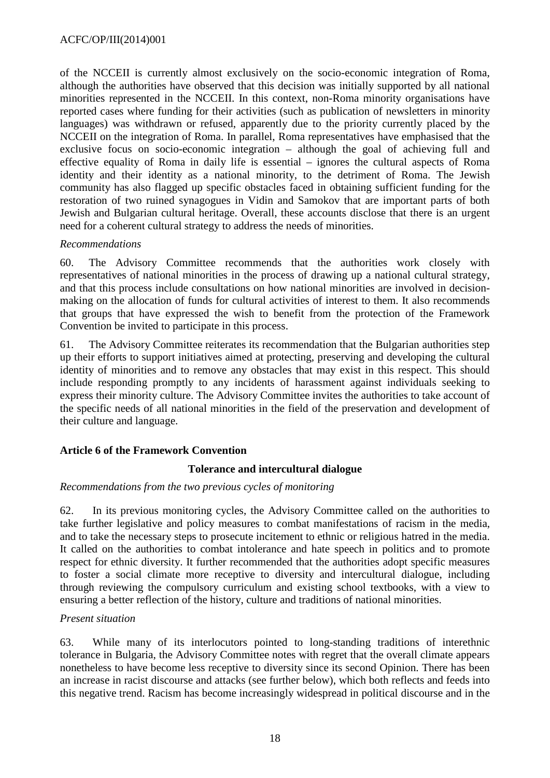of the NCCEII is currently almost exclusively on the socio-economic integration of Roma, although the authorities have observed that this decision was initially supported by all national minorities represented in the NCCEII. In this context, non-Roma minority organisations have reported cases where funding for their activities (such as publication of newsletters in minority languages) was withdrawn or refused, apparently due to the priority currently placed by the NCCEII on the integration of Roma. In parallel, Roma representatives have emphasised that the exclusive focus on socio-economic integration – although the goal of achieving full and effective equality of Roma in daily life is essential – ignores the cultural aspects of Roma identity and their identity as a national minority, to the detriment of Roma. The Jewish community has also flagged up specific obstacles faced in obtaining sufficient funding for the restoration of two ruined synagogues in Vidin and Samokov that are important parts of both Jewish and Bulgarian cultural heritage. Overall, these accounts disclose that there is an urgent need for a coherent cultural strategy to address the needs of minorities.

### *Recommendations*

60. The Advisory Committee recommends that the authorities work closely with representatives of national minorities in the process of drawing up a national cultural strategy, and that this process include consultations on how national minorities are involved in decisionmaking on the allocation of funds for cultural activities of interest to them. It also recommends that groups that have expressed the wish to benefit from the protection of the Framework Convention be invited to participate in this process.

61. The Advisory Committee reiterates its recommendation that the Bulgarian authorities step up their efforts to support initiatives aimed at protecting, preserving and developing the cultural identity of minorities and to remove any obstacles that may exist in this respect. This should include responding promptly to any incidents of harassment against individuals seeking to express their minority culture. The Advisory Committee invites the authorities to take account of the specific needs of all national minorities in the field of the preservation and development of their culture and language.

### <span id="page-17-0"></span>**Article 6 of the Framework Convention**

#### **Tolerance and intercultural dialogue**

#### *Recommendations from the two previous cycles of monitoring*

62. In its previous monitoring cycles, the Advisory Committee called on the authorities to take further legislative and policy measures to combat manifestations of racism in the media, and to take the necessary steps to prosecute incitement to ethnic or religious hatred in the media. It called on the authorities to combat intolerance and hate speech in politics and to promote respect for ethnic diversity. It further recommended that the authorities adopt specific measures to foster a social climate more receptive to diversity and intercultural dialogue, including through reviewing the compulsory curriculum and existing school textbooks, with a view to ensuring a better reflection of the history, culture and traditions of national minorities.

#### *Present situation*

63. While many of its interlocutors pointed to long-standing traditions of interethnic tolerance in Bulgaria, the Advisory Committee notes with regret that the overall climate appears nonetheless to have become less receptive to diversity since its second Opinion. There has been an increase in racist discourse and attacks (see further below), which both reflects and feeds into this negative trend. Racism has become increasingly widespread in political discourse and in the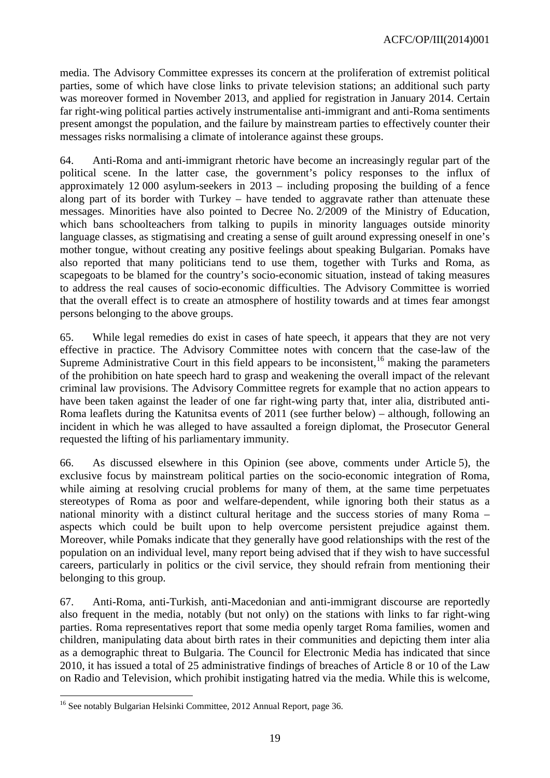media. The Advisory Committee expresses its concern at the proliferation of extremist political parties, some of which have close links to private television stations; an additional such party was moreover formed in November 2013, and applied for registration in January 2014. Certain far right-wing political parties actively instrumentalise anti-immigrant and anti-Roma sentiments present amongst the population, and the failure by mainstream parties to effectively counter their messages risks normalising a climate of intolerance against these groups.

64. Anti-Roma and anti-immigrant rhetoric have become an increasingly regular part of the political scene. In the latter case, the government's policy responses to the influx of approximately 12 000 asylum-seekers in 2013 – including proposing the building of a fence along part of its border with Turkey – have tended to aggravate rather than attenuate these messages. Minorities have also pointed to Decree No. 2/2009 of the Ministry of Education, which bans schoolteachers from talking to pupils in minority languages outside minority language classes, as stigmatising and creating a sense of guilt around expressing oneself in one's mother tongue, without creating any positive feelings about speaking Bulgarian. Pomaks have also reported that many politicians tend to use them, together with Turks and Roma, as scapegoats to be blamed for the country's socio-economic situation, instead of taking measures to address the real causes of socio-economic difficulties. The Advisory Committee is worried that the overall effect is to create an atmosphere of hostility towards and at times fear amongst persons belonging to the above groups.

65. While legal remedies do exist in cases of hate speech, it appears that they are not very effective in practice. The Advisory Committee notes with concern that the case-law of the Supreme Administrative Court in this field appears to be inconsistent,  $16$  making the parameters of the prohibition on hate speech hard to grasp and weakening the overall impact of the relevant criminal law provisions. The Advisory Committee regrets for example that no action appears to have been taken against the leader of one far right-wing party that, inter alia, distributed anti-Roma leaflets during the Katunitsa events of 2011 (see further below) – although, following an incident in which he was alleged to have assaulted a foreign diplomat, the Prosecutor General requested the lifting of his parliamentary immunity.

66. As discussed elsewhere in this Opinion (see above, comments under Article 5), the exclusive focus by mainstream political parties on the socio-economic integration of Roma, while aiming at resolving crucial problems for many of them, at the same time perpetuates stereotypes of Roma as poor and welfare-dependent, while ignoring both their status as a national minority with a distinct cultural heritage and the success stories of many Roma – aspects which could be built upon to help overcome persistent prejudice against them. Moreover, while Pomaks indicate that they generally have good relationships with the rest of the population on an individual level, many report being advised that if they wish to have successful careers, particularly in politics or the civil service, they should refrain from mentioning their belonging to this group.

67. Anti-Roma, anti-Turkish, anti-Macedonian and anti-immigrant discourse are reportedly also frequent in the media, notably (but not only) on the stations with links to far right-wing parties. Roma representatives report that some media openly target Roma families, women and children, manipulating data about birth rates in their communities and depicting them inter alia as a demographic threat to Bulgaria. The Council for Electronic Media has indicated that since 2010, it has issued a total of 25 administrative findings of breaches of Article 8 or 10 of the Law on Radio and Television, which prohibit instigating hatred via the media. While this is welcome,

<span id="page-18-0"></span><sup>&</sup>lt;sup>16</sup> See notably Bulgarian Helsinki Committee, 2012 Annual Report, page 36.  $\overline{a}$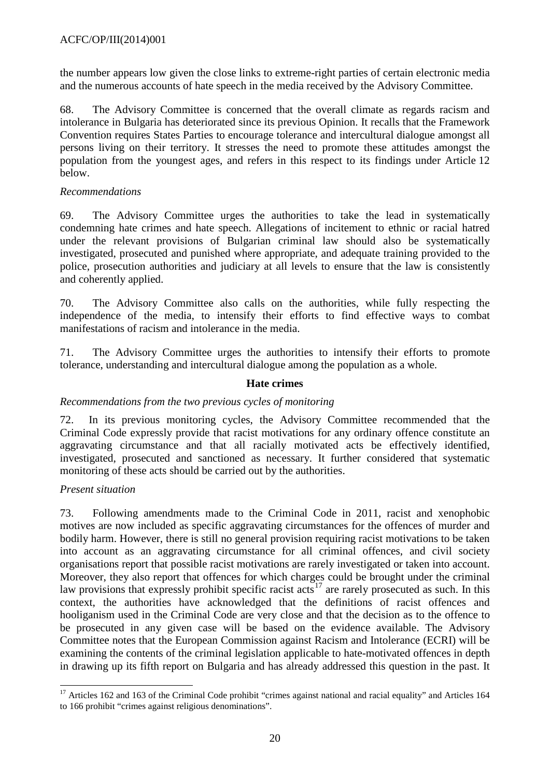the number appears low given the close links to extreme-right parties of certain electronic media and the numerous accounts of hate speech in the media received by the Advisory Committee.

68. The Advisory Committee is concerned that the overall climate as regards racism and intolerance in Bulgaria has deteriorated since its previous Opinion. It recalls that the Framework Convention requires States Parties to encourage tolerance and intercultural dialogue amongst all persons living on their territory. It stresses the need to promote these attitudes amongst the population from the youngest ages, and refers in this respect to its findings under Article 12 below.

### *Recommendations*

69. The Advisory Committee urges the authorities to take the lead in systematically condemning hate crimes and hate speech. Allegations of incitement to ethnic or racial hatred under the relevant provisions of Bulgarian criminal law should also be systematically investigated, prosecuted and punished where appropriate, and adequate training provided to the police, prosecution authorities and judiciary at all levels to ensure that the law is consistently and coherently applied.

70. The Advisory Committee also calls on the authorities, while fully respecting the independence of the media, to intensify their efforts to find effective ways to combat manifestations of racism and intolerance in the media.

71. The Advisory Committee urges the authorities to intensify their efforts to promote tolerance, understanding and intercultural dialogue among the population as a whole.

### **Hate crimes**

#### *Recommendations from the two previous cycles of monitoring*

72. In its previous monitoring cycles, the Advisory Committee recommended that the Criminal Code expressly provide that racist motivations for any ordinary offence constitute an aggravating circumstance and that all racially motivated acts be effectively identified, investigated, prosecuted and sanctioned as necessary. It further considered that systematic monitoring of these acts should be carried out by the authorities.

#### *Present situation*

73. Following amendments made to the Criminal Code in 2011, racist and xenophobic motives are now included as specific aggravating circumstances for the offences of murder and bodily harm. However, there is still no general provision requiring racist motivations to be taken into account as an aggravating circumstance for all criminal offences, and civil society organisations report that possible racist motivations are rarely investigated or taken into account. Moreover, they also report that offences for which charges could be brought under the criminal law provisions that expressly prohibit specific racist acts<sup>[17](#page-19-0)</sup> are rarely prosecuted as such. In this context, the authorities have acknowledged that the definitions of racist offences and hooliganism used in the Criminal Code are very close and that the decision as to the offence to be prosecuted in any given case will be based on the evidence available. The Advisory Committee notes that the European Commission against Racism and Intolerance (ECRI) will be examining the contents of the criminal legislation applicable to hate-motivated offences in depth in drawing up its fifth report on Bulgaria and has already addressed this question in the past. It

<span id="page-19-0"></span><sup>&</sup>lt;sup>17</sup> Articles 162 and 163 of the Criminal Code prohibit "crimes against national and racial equality" and Articles 164 to 166 prohibit "crimes against religious denominations".  $\overline{a}$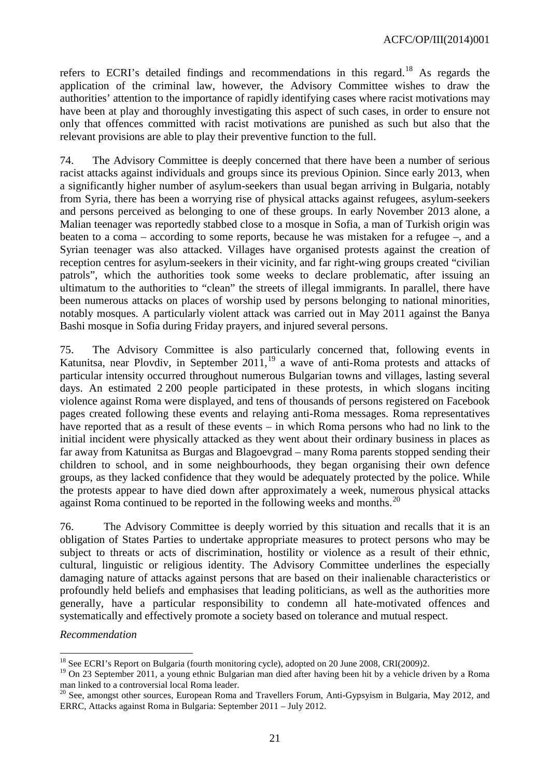refers to ECRI's detailed findings and recommendations in this regard.<sup>[18](#page-20-0)</sup> As regards the application of the criminal law, however, the Advisory Committee wishes to draw the authorities' attention to the importance of rapidly identifying cases where racist motivations may have been at play and thoroughly investigating this aspect of such cases, in order to ensure not only that offences committed with racist motivations are punished as such but also that the relevant provisions are able to play their preventive function to the full.

74. The Advisory Committee is deeply concerned that there have been a number of serious racist attacks against individuals and groups since its previous Opinion. Since early 2013, when a significantly higher number of asylum-seekers than usual began arriving in Bulgaria, notably from Syria, there has been a worrying rise of physical attacks against refugees, asylum-seekers and persons perceived as belonging to one of these groups. In early November 2013 alone, a Malian teenager was reportedly stabbed close to a mosque in Sofia, a man of Turkish origin was beaten to a coma – according to some reports, because he was mistaken for a refugee –, and a Syrian teenager was also attacked. Villages have organised protests against the creation of reception centres for asylum-seekers in their vicinity, and far right-wing groups created "civilian patrols", which the authorities took some weeks to declare problematic, after issuing an ultimatum to the authorities to "clean" the streets of illegal immigrants. In parallel, there have been numerous attacks on places of worship used by persons belonging to national minorities, notably mosques. A particularly violent attack was carried out in May 2011 against the Banya Bashi mosque in Sofia during Friday prayers, and injured several persons.

75. The Advisory Committee is also particularly concerned that, following events in Katunitsa, near Plovdiv, in September  $2011$ ,<sup>[19](#page-20-1)</sup> a wave of anti-Roma protests and attacks of particular intensity occurred throughout numerous Bulgarian towns and villages, lasting several days. An estimated 2 200 people participated in these protests, in which slogans inciting violence against Roma were displayed, and tens of thousands of persons registered on Facebook pages created following these events and relaying anti-Roma messages. Roma representatives have reported that as a result of these events – in which Roma persons who had no link to the initial incident were physically attacked as they went about their ordinary business in places as far away from Katunitsa as Burgas and Blagoevgrad – many Roma parents stopped sending their children to school, and in some neighbourhoods, they began organising their own defence groups, as they lacked confidence that they would be adequately protected by the police. While the protests appear to have died down after approximately a week, numerous physical attacks against Roma continued to be reported in the following weeks and months.<sup>[20](#page-20-2)</sup>

76. The Advisory Committee is deeply worried by this situation and recalls that it is an obligation of States Parties to undertake appropriate measures to protect persons who may be subject to threats or acts of discrimination, hostility or violence as a result of their ethnic, cultural, linguistic or religious identity. The Advisory Committee underlines the especially damaging nature of attacks against persons that are based on their inalienable characteristics or profoundly held beliefs and emphasises that leading politicians, as well as the authorities more generally, have a particular responsibility to condemn all hate-motivated offences and systematically and effectively promote a society based on tolerance and mutual respect.

*Recommendation*

<sup>&</sup>lt;sup>18</sup> See ECRI's Report on Bulgaria (fourth monitoring cycle), adopted on 20 June 2008, CRI(2009)2.  $\overline{a}$ 

<span id="page-20-1"></span><span id="page-20-0"></span><sup>&</sup>lt;sup>19</sup> On 23 September 2011, a young ethnic Bulgarian man died after having been hit by a vehicle driven by a Roma man linked to a controversial local Roma leader.

<span id="page-20-2"></span><sup>&</sup>lt;sup>20</sup> See, amongst other sources, European Roma and Travellers Forum, Anti-Gypsyism in Bulgaria, May 2012, and ERRC, Attacks against Roma in Bulgaria: September 2011 – July 2012.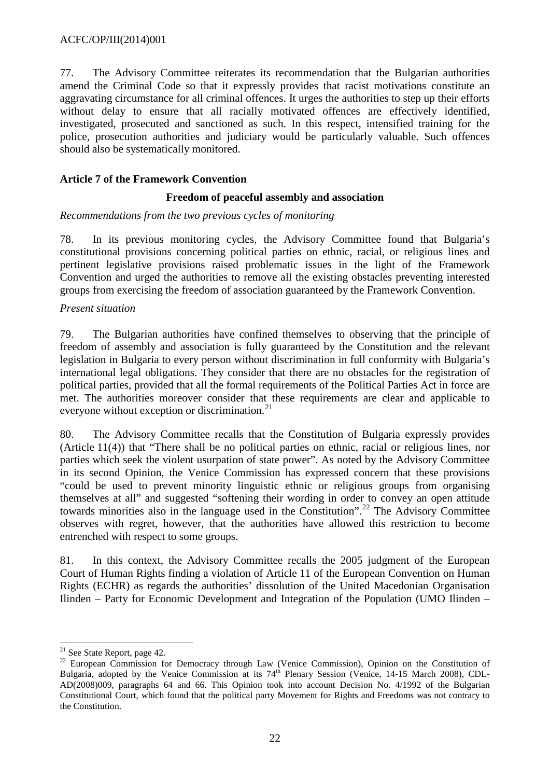77. The Advisory Committee reiterates its recommendation that the Bulgarian authorities amend the Criminal Code so that it expressly provides that racist motivations constitute an aggravating circumstance for all criminal offences. It urges the authorities to step up their efforts without delay to ensure that all racially motivated offences are effectively identified, investigated, prosecuted and sanctioned as such. In this respect, intensified training for the police, prosecution authorities and judiciary would be particularly valuable. Such offences should also be systematically monitored.

### <span id="page-21-0"></span>**Article 7 of the Framework Convention**

#### **Freedom of peaceful assembly and association**

### *Recommendations from the two previous cycles of monitoring*

78. In its previous monitoring cycles, the Advisory Committee found that Bulgaria's constitutional provisions concerning political parties on ethnic, racial, or religious lines and pertinent legislative provisions raised problematic issues in the light of the Framework Convention and urged the authorities to remove all the existing obstacles preventing interested groups from exercising the freedom of association guaranteed by the Framework Convention.

#### *Present situation*

79. The Bulgarian authorities have confined themselves to observing that the principle of freedom of assembly and association is fully guaranteed by the Constitution and the relevant legislation in Bulgaria to every person without discrimination in full conformity with Bulgaria's international legal obligations. They consider that there are no obstacles for the registration of political parties, provided that all the formal requirements of the Political Parties Act in force are met. The authorities moreover consider that these requirements are clear and applicable to everyone without exception or discrimination.<sup>[21](#page-21-1)</sup>

80. The Advisory Committee recalls that the Constitution of Bulgaria expressly provides (Article 11(4)) that "There shall be no political parties on ethnic, racial or religious lines, nor parties which seek the violent usurpation of state power". As noted by the Advisory Committee in its second Opinion, the Venice Commission has expressed concern that these provisions "could be used to prevent minority linguistic ethnic or religious groups from organising themselves at all" and suggested "softening their wording in order to convey an open attitude towards minorities also in the language used in the Constitution".<sup>[22](#page-21-2)</sup> The Advisory Committee observes with regret, however, that the authorities have allowed this restriction to become entrenched with respect to some groups.

81. In this context, the Advisory Committee recalls the 2005 judgment of the European Court of Human Rights finding a violation of Article 11 of the European Convention on Human Rights (ECHR) as regards the authorities' dissolution of the United Macedonian Organisation Ilinden – Party for Economic Development and Integration of the Population (UMO Ilinden –

<span id="page-21-1"></span><sup>&</sup>lt;sup>21</sup> See State Report, page 42.

<span id="page-21-2"></span> $22$  European Commission for Democracy through Law (Venice Commission), Opinion on the Constitution of Bulgaria, adopted by the Venice Commission at its 74<sup>th</sup> Plenary Session (Venice, 14-15 March 2008), CDL-AD(2008)009, paragraphs 64 and 66. This Opinion took into account Decision No. 4/1992 of the Bulgarian Constitutional Court, which found that the political party Movement for Rights and Freedoms was not contrary to the Constitution.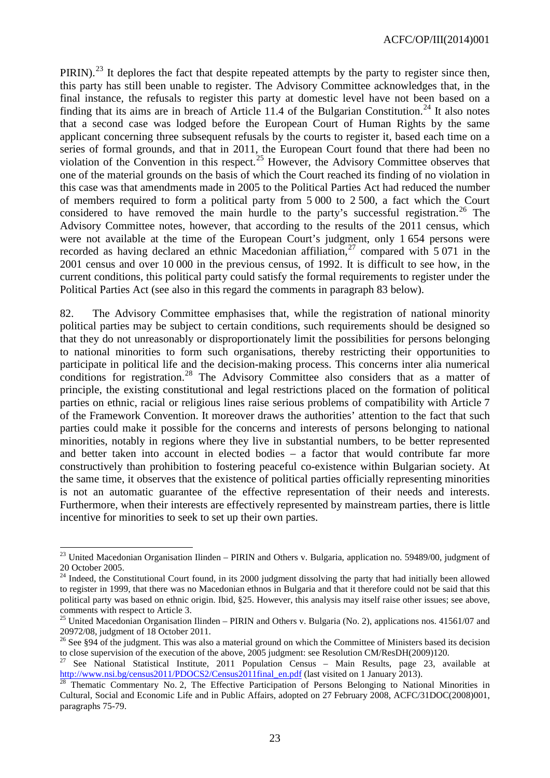PIRIN).<sup>[23](#page-22-0)</sup> It deplores the fact that despite repeated attempts by the party to register since then, this party has still been unable to register. The Advisory Committee acknowledges that, in the final instance, the refusals to register this party at domestic level have not been based on a finding that its aims are in breach of Article 11.4 of the Bulgarian Constitution.<sup>[24](#page-22-1)</sup> It also notes that a second case was lodged before the European Court of Human Rights by the same applicant concerning three subsequent refusals by the courts to register it, based each time on a series of formal grounds, and that in 2011, the European Court found that there had been no violation of the Convention in this respect.<sup>[25](#page-22-2)</sup> However, the Advisory Committee observes that one of the material grounds on the basis of which the Court reached its finding of no violation in this case was that amendments made in 2005 to the Political Parties Act had reduced the number of members required to form a political party from 5 000 to 2 500, a fact which the Court considered to have removed the main hurdle to the party's successful registration.<sup>[26](#page-22-3)</sup> The Advisory Committee notes, however, that according to the results of the 2011 census, which were not available at the time of the European Court's judgment, only 1 654 persons were recorded as having declared an ethnic Macedonian affiliation,<sup>[27](#page-22-4)</sup> compared with  $5\,071$  in the 2001 census and over 10 000 in the previous census, of 1992. It is difficult to see how, in the current conditions, this political party could satisfy the formal requirements to register under the Political Parties Act (see also in this regard the comments in paragraph 83 below).

82. The Advisory Committee emphasises that, while the registration of national minority political parties may be subject to certain conditions, such requirements should be designed so that they do not unreasonably or disproportionately limit the possibilities for persons belonging to national minorities to form such organisations, thereby restricting their opportunities to participate in political life and the decision-making process. This concerns inter alia numerical conditions for registration.<sup>[28](#page-22-5)</sup> The Advisory Committee also considers that as a matter of principle, the existing constitutional and legal restrictions placed on the formation of political parties on ethnic, racial or religious lines raise serious problems of compatibility with Article 7 of the Framework Convention. It moreover draws the authorities' attention to the fact that such parties could make it possible for the concerns and interests of persons belonging to national minorities, notably in regions where they live in substantial numbers, to be better represented and better taken into account in elected bodies – a factor that would contribute far more constructively than prohibition to fostering peaceful co-existence within Bulgarian society. At the same time, it observes that the existence of political parties officially representing minorities is not an automatic guarantee of the effective representation of their needs and interests. Furthermore, when their interests are effectively represented by mainstream parties, there is little incentive for minorities to seek to set up their own parties.

 $\overline{a}$ 

<span id="page-22-0"></span><sup>&</sup>lt;sup>23</sup> United Macedonian Organisation Ilinden – PIRIN and Others v. Bulgaria, application no. 59489/00, judgment of <sup>20</sup> October 2005. <sup>24</sup> Indeed, the Constitutional Court found, in its 2000 judgment dissolving the party that had initially been allowed

<span id="page-22-1"></span>to register in 1999, that there was no Macedonian ethnos in Bulgaria and that it therefore could not be said that this political party was based on ethnic origin. Ibid, §25. However, this analysis may itself raise other issues; see above, comments with respect to Article 3.

<span id="page-22-2"></span><sup>&</sup>lt;sup>25</sup> United Macedonian Organisation Ilinden – PIRIN and Others v. Bulgaria (No. 2), applications nos. 41561/07 and 20972/08, judgment of 18 October 2011.

<span id="page-22-3"></span><sup>&</sup>lt;sup>26</sup> See §94 of the judgment. This was also a material ground on which the Committee of Ministers based its decision

<span id="page-22-4"></span>to close supervision of the execution of the above, 2005 judgment: see Resolution CM/ResDH(2009)120.<br><sup>27</sup> See National Statistical Institute, 2011 Population Census – Main Results, page 23, available at http://www.nsi.bg/

<span id="page-22-5"></span>Thematic Commentary No. 2, The Effective Participation of Persons Belonging to National Minorities in Cultural, Social and Economic Life and in Public Affairs, adopted on 27 February 2008, ACFC/31DOC(2008)001, paragraphs 75-79.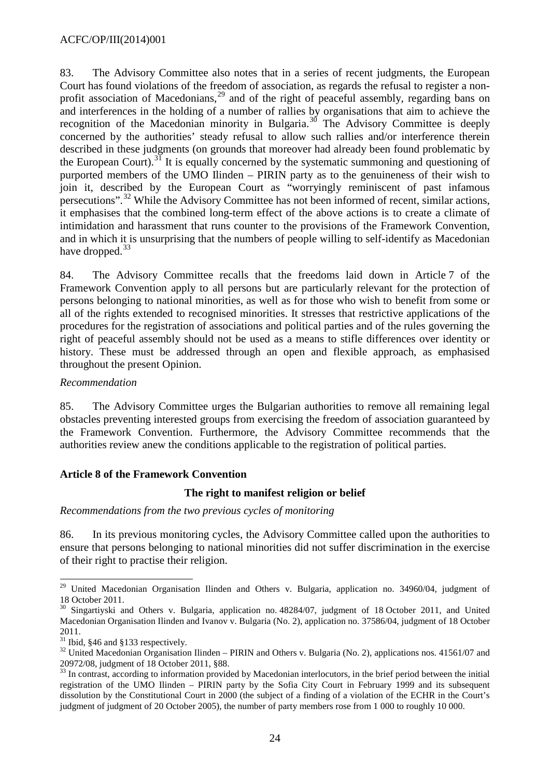83. The Advisory Committee also notes that in a series of recent judgments, the European Court has found violations of the freedom of association, as regards the refusal to register a non-profit association of Macedonians,<sup>[29](#page-23-1)</sup> and of the right of peaceful assembly, regarding bans on and interferences in the holding of a number of rallies by organisations that aim to achieve the recognition of the Macedonian minority in Bulgaria.<sup>[30](#page-23-2)</sup> The Advisory Committee is deeply concerned by the authorities' steady refusal to allow such rallies and/or interference therein described in these judgments (on grounds that moreover had already been found problematic by the European Court).<sup>[31](#page-23-3)</sup> It is equally concerned by the systematic summoning and questioning of purported members of the UMO Ilinden – PIRIN party as to the genuineness of their wish to join it, described by the European Court as "worryingly reminiscent of past infamous persecutions".<sup>[32](#page-23-4)</sup> While the Advisory Committee has not been informed of recent, similar actions, it emphasises that the combined long-term effect of the above actions is to create a climate of intimidation and harassment that runs counter to the provisions of the Framework Convention, and in which it is unsurprising that the numbers of people willing to self-identify as Macedonian have dropped. $33$ 

84. The Advisory Committee recalls that the freedoms laid down in Article 7 of the Framework Convention apply to all persons but are particularly relevant for the protection of persons belonging to national minorities, as well as for those who wish to benefit from some or all of the rights extended to recognised minorities. It stresses that restrictive applications of the procedures for the registration of associations and political parties and of the rules governing the right of peaceful assembly should not be used as a means to stifle differences over identity or history. These must be addressed through an open and flexible approach, as emphasised throughout the present Opinion.

### *Recommendation*

85. The Advisory Committee urges the Bulgarian authorities to remove all remaining legal obstacles preventing interested groups from exercising the freedom of association guaranteed by the Framework Convention. Furthermore, the Advisory Committee recommends that the authorities review anew the conditions applicable to the registration of political parties.

### <span id="page-23-0"></span>**Article 8 of the Framework Convention**

#### **The right to manifest religion or belief**

#### *Recommendations from the two previous cycles of monitoring*

86. In its previous monitoring cycles, the Advisory Committee called upon the authorities to ensure that persons belonging to national minorities did not suffer discrimination in the exercise of their right to practise their religion.

<span id="page-23-1"></span><sup>&</sup>lt;sup>29</sup> United Macedonian Organisation Ilinden and Others v. Bulgaria, application no. 34960/04, judgment of <sup>18</sup> October 2011. <sup>30</sup> Singartiyski and Others v. Bulgaria, application no. 48284/07, judgment of 18 October 2011, and United  $\overline{a}$ 

<span id="page-23-2"></span>Macedonian Organisation Ilinden and Ivanov v. Bulgaria (No. 2), application no. 37586/04, judgment of 18 October

<span id="page-23-4"></span>

<span id="page-23-3"></span><sup>2011.&</sup>lt;br><sup>31</sup> Ibid, §46 and §133 respectively.<br><sup>32</sup> United Macedonian Organisation Ilinden – PIRIN and Others v. Bulgaria (No. 2), applications nos. 41561/07 and<br>20972/08. judgment of 18 October 2011, §88.

<span id="page-23-5"></span><sup>&</sup>lt;sup>33</sup> In contrast, according to information provided by Macedonian interlocutors, in the brief period between the initial registration of the UMO Ilinden – PIRIN party by the Sofia City Court in February 1999 and its subsequent dissolution by the Constitutional Court in 2000 (the subject of a finding of a violation of the ECHR in the Court's judgment of judgment of 20 October 2005), the number of party members rose from 1 000 to roughly 10 000.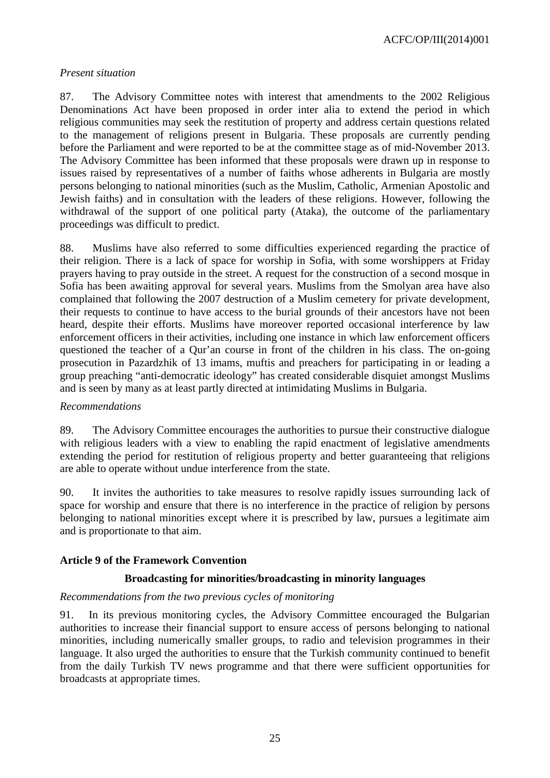ACFC/OP/III(2014)001

#### *Present situation*

87. The Advisory Committee notes with interest that amendments to the 2002 Religious Denominations Act have been proposed in order inter alia to extend the period in which religious communities may seek the restitution of property and address certain questions related to the management of religions present in Bulgaria. These proposals are currently pending before the Parliament and were reported to be at the committee stage as of mid-November 2013. The Advisory Committee has been informed that these proposals were drawn up in response to issues raised by representatives of a number of faiths whose adherents in Bulgaria are mostly persons belonging to national minorities (such as the Muslim, Catholic, Armenian Apostolic and Jewish faiths) and in consultation with the leaders of these religions. However, following the withdrawal of the support of one political party (Ataka), the outcome of the parliamentary proceedings was difficult to predict.

88. Muslims have also referred to some difficulties experienced regarding the practice of their religion. There is a lack of space for worship in Sofia, with some worshippers at Friday prayers having to pray outside in the street. A request for the construction of a second mosque in Sofia has been awaiting approval for several years. Muslims from the Smolyan area have also complained that following the 2007 destruction of a Muslim cemetery for private development, their requests to continue to have access to the burial grounds of their ancestors have not been heard, despite their efforts. Muslims have moreover reported occasional interference by law enforcement officers in their activities, including one instance in which law enforcement officers questioned the teacher of a Qur'an course in front of the children in his class. The on-going prosecution in Pazardzhik of 13 imams, muftis and preachers for participating in or leading a group preaching "anti-democratic ideology" has created considerable disquiet amongst Muslims and is seen by many as at least partly directed at intimidating Muslims in Bulgaria.

#### *Recommendations*

89. The Advisory Committee encourages the authorities to pursue their constructive dialogue with religious leaders with a view to enabling the rapid enactment of legislative amendments extending the period for restitution of religious property and better guaranteeing that religions are able to operate without undue interference from the state.

90. It invites the authorities to take measures to resolve rapidly issues surrounding lack of space for worship and ensure that there is no interference in the practice of religion by persons belonging to national minorities except where it is prescribed by law, pursues a legitimate aim and is proportionate to that aim.

#### <span id="page-24-0"></span>**Article 9 of the Framework Convention**

#### **Broadcasting for minorities/broadcasting in minority languages**

#### *Recommendations from the two previous cycles of monitoring*

91. In its previous monitoring cycles, the Advisory Committee encouraged the Bulgarian authorities to increase their financial support to ensure access of persons belonging to national minorities, including numerically smaller groups, to radio and television programmes in their language. It also urged the authorities to ensure that the Turkish community continued to benefit from the daily Turkish TV news programme and that there were sufficient opportunities for broadcasts at appropriate times.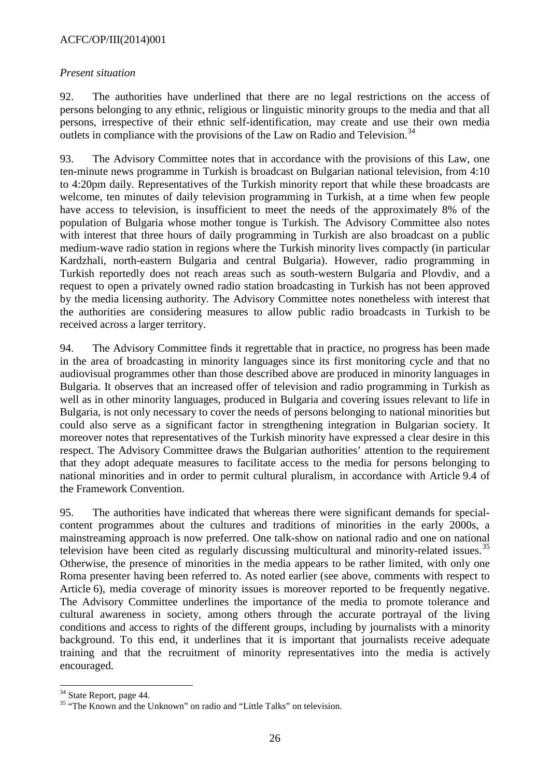### ACFC/OP/III(2014)001

#### *Present situation*

92. The authorities have underlined that there are no legal restrictions on the access of persons belonging to any ethnic, religious or linguistic minority groups to the media and that all persons, irrespective of their ethnic self-identification, may create and use their own media outlets in compliance with the provisions of the Law on Radio and Television.<sup>[34](#page-25-0)</sup>

93. The Advisory Committee notes that in accordance with the provisions of this Law, one ten-minute news programme in Turkish is broadcast on Bulgarian national television, from 4:10 to 4:20pm daily. Representatives of the Turkish minority report that while these broadcasts are welcome, ten minutes of daily television programming in Turkish, at a time when few people have access to television, is insufficient to meet the needs of the approximately 8% of the population of Bulgaria whose mother tongue is Turkish. The Advisory Committee also notes with interest that three hours of daily programming in Turkish are also broadcast on a public medium-wave radio station in regions where the Turkish minority lives compactly (in particular Kardzhali, north-eastern Bulgaria and central Bulgaria). However, radio programming in Turkish reportedly does not reach areas such as south-western Bulgaria and Plovdiv, and a request to open a privately owned radio station broadcasting in Turkish has not been approved by the media licensing authority. The Advisory Committee notes nonetheless with interest that the authorities are considering measures to allow public radio broadcasts in Turkish to be received across a larger territory.

94. The Advisory Committee finds it regrettable that in practice, no progress has been made in the area of broadcasting in minority languages since its first monitoring cycle and that no audiovisual programmes other than those described above are produced in minority languages in Bulgaria. It observes that an increased offer of television and radio programming in Turkish as well as in other minority languages, produced in Bulgaria and covering issues relevant to life in Bulgaria, is not only necessary to cover the needs of persons belonging to national minorities but could also serve as a significant factor in strengthening integration in Bulgarian society. It moreover notes that representatives of the Turkish minority have expressed a clear desire in this respect. The Advisory Committee draws the Bulgarian authorities' attention to the requirement that they adopt adequate measures to facilitate access to the media for persons belonging to national minorities and in order to permit cultural pluralism, in accordance with Article 9.4 of the Framework Convention.

95. The authorities have indicated that whereas there were significant demands for specialcontent programmes about the cultures and traditions of minorities in the early 2000s, a mainstreaming approach is now preferred. One talk-show on national radio and one on national television have been cited as regularly discussing multicultural and minority-related issues.<sup>[35](#page-25-1)</sup> Otherwise, the presence of minorities in the media appears to be rather limited, with only one Roma presenter having been referred to. As noted earlier (see above, comments with respect to Article 6), media coverage of minority issues is moreover reported to be frequently negative. The Advisory Committee underlines the importance of the media to promote tolerance and cultural awareness in society, among others through the accurate portrayal of the living conditions and access to rights of the different groups, including by journalists with a minority background. To this end, it underlines that it is important that journalists receive adequate training and that the recruitment of minority representatives into the media is actively encouraged.

<span id="page-25-0"></span><sup>&</sup>lt;sup>34</sup> State Report, page 44.

<span id="page-25-1"></span><sup>&</sup>lt;sup>35</sup> "The Known and the Unknown" on radio and "Little Talks" on television.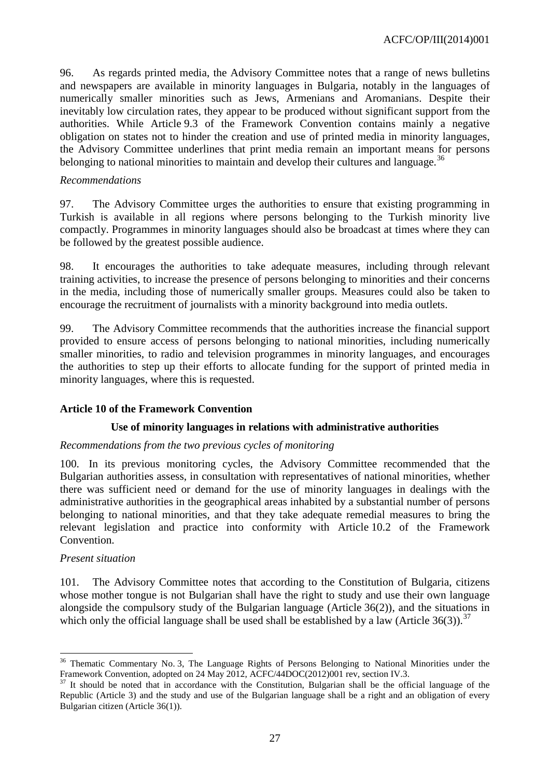96. As regards printed media, the Advisory Committee notes that a range of news bulletins and newspapers are available in minority languages in Bulgaria, notably in the languages of numerically smaller minorities such as Jews, Armenians and Aromanians. Despite their inevitably low circulation rates, they appear to be produced without significant support from the authorities. While Article 9.3 of the Framework Convention contains mainly a negative obligation on states not to hinder the creation and use of printed media in minority languages, the Advisory Committee underlines that print media remain an important means for persons belonging to national minorities to maintain and develop their cultures and language.<sup>[36](#page-26-1)</sup>

#### *Recommendations*

97. The Advisory Committee urges the authorities to ensure that existing programming in Turkish is available in all regions where persons belonging to the Turkish minority live compactly. Programmes in minority languages should also be broadcast at times where they can be followed by the greatest possible audience.

98. It encourages the authorities to take adequate measures, including through relevant training activities, to increase the presence of persons belonging to minorities and their concerns in the media, including those of numerically smaller groups. Measures could also be taken to encourage the recruitment of journalists with a minority background into media outlets.

99. The Advisory Committee recommends that the authorities increase the financial support provided to ensure access of persons belonging to national minorities, including numerically smaller minorities, to radio and television programmes in minority languages, and encourages the authorities to step up their efforts to allocate funding for the support of printed media in minority languages, where this is requested.

### <span id="page-26-0"></span>**Article 10 of the Framework Convention**

#### **Use of minority languages in relations with administrative authorities**

#### *Recommendations from the two previous cycles of monitoring*

100. In its previous monitoring cycles, the Advisory Committee recommended that the Bulgarian authorities assess, in consultation with representatives of national minorities, whether there was sufficient need or demand for the use of minority languages in dealings with the administrative authorities in the geographical areas inhabited by a substantial number of persons belonging to national minorities, and that they take adequate remedial measures to bring the relevant legislation and practice into conformity with Article 10.2 of the Framework Convention.

#### *Present situation*

101. The Advisory Committee notes that according to the Constitution of Bulgaria, citizens whose mother tongue is not Bulgarian shall have the right to study and use their own language alongside the compulsory study of the Bulgarian language (Article 36(2)), and the situations in which only the official language shall be used shall be established by a law (Article  $36(3)$ ).<sup>[37](#page-26-2)</sup>

<span id="page-26-1"></span><sup>&</sup>lt;sup>36</sup> Thematic Commentary No. 3, The Language Rights of Persons Belonging to National Minorities under the Framework Convention, adopted on 24 May 2012, ACFC/44DOC(2012)001 rev, section IV.3.<br><sup>37</sup> It should be noted that in accordance with the Constitution, Bulgarian shall be the official language of the  $\overline{a}$ 

<span id="page-26-2"></span>Republic (Article 3) and the study and use of the Bulgarian language shall be a right and an obligation of every Bulgarian citizen (Article 36(1)).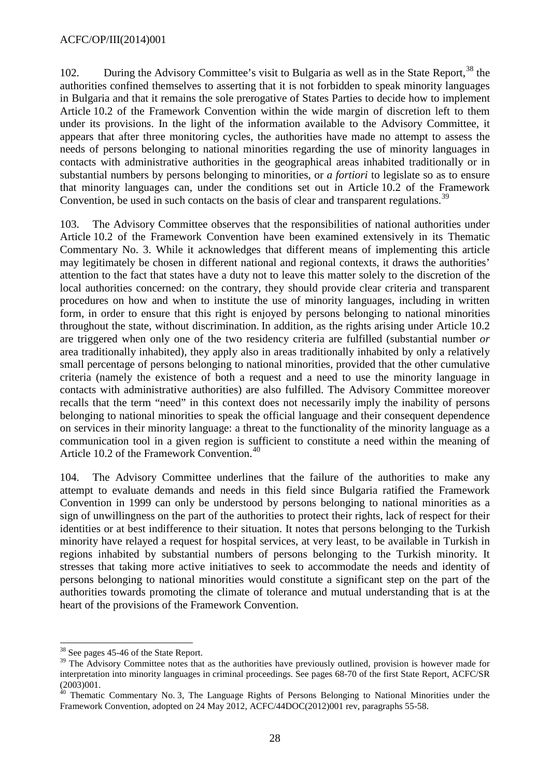102. During the Advisory Committee's visit to Bulgaria as well as in the State Report,<sup>[38](#page-27-0)</sup> the authorities confined themselves to asserting that it is not forbidden to speak minority languages in Bulgaria and that it remains the sole prerogative of States Parties to decide how to implement Article 10.2 of the Framework Convention within the wide margin of discretion left to them under its provisions. In the light of the information available to the Advisory Committee, it appears that after three monitoring cycles, the authorities have made no attempt to assess the needs of persons belonging to national minorities regarding the use of minority languages in contacts with administrative authorities in the geographical areas inhabited traditionally or in substantial numbers by persons belonging to minorities, or *a fortiori* to legislate so as to ensure that minority languages can, under the conditions set out in Article 10.2 of the Framework Convention, be used in such contacts on the basis of clear and transparent regulations.<sup>[39](#page-27-1)</sup>

103. The Advisory Committee observes that the responsibilities of national authorities under Article 10.2 of the Framework Convention have been examined extensively in its Thematic Commentary No. 3. While it acknowledges that different means of implementing this article may legitimately be chosen in different national and regional contexts, it draws the authorities' attention to the fact that states have a duty not to leave this matter solely to the discretion of the local authorities concerned: on the contrary, they should provide clear criteria and transparent procedures on how and when to institute the use of minority languages, including in written form, in order to ensure that this right is enjoyed by persons belonging to national minorities throughout the state, without discrimination. In addition, as the rights arising under Article 10.2 are triggered when only one of the two residency criteria are fulfilled (substantial number *or*  area traditionally inhabited), they apply also in areas traditionally inhabited by only a relatively small percentage of persons belonging to national minorities, provided that the other cumulative criteria (namely the existence of both a request and a need to use the minority language in contacts with administrative authorities) are also fulfilled. The Advisory Committee moreover recalls that the term "need" in this context does not necessarily imply the inability of persons belonging to national minorities to speak the official language and their consequent dependence on services in their minority language: a threat to the functionality of the minority language as a communication tool in a given region is sufficient to constitute a need within the meaning of Article 10.2 of the Framework Convention.<sup>[40](#page-27-2)</sup>

104. The Advisory Committee underlines that the failure of the authorities to make any attempt to evaluate demands and needs in this field since Bulgaria ratified the Framework Convention in 1999 can only be understood by persons belonging to national minorities as a sign of unwillingness on the part of the authorities to protect their rights, lack of respect for their identities or at best indifference to their situation. It notes that persons belonging to the Turkish minority have relayed a request for hospital services, at very least, to be available in Turkish in regions inhabited by substantial numbers of persons belonging to the Turkish minority. It stresses that taking more active initiatives to seek to accommodate the needs and identity of persons belonging to national minorities would constitute a significant step on the part of the authorities towards promoting the climate of tolerance and mutual understanding that is at the heart of the provisions of the Framework Convention.

<sup>&</sup>lt;sup>38</sup> See pages 45-46 of the State Report.  $\overline{a}$ 

<span id="page-27-1"></span><span id="page-27-0"></span><sup>&</sup>lt;sup>39</sup> The Advisory Committee notes that as the authorities have previously outlined, provision is however made for interpretation into minority languages in criminal proceedings. See pages 68-70 of the first State Report, ACFC/SR (2003)001.

<span id="page-27-2"></span><sup>&</sup>lt;sup>40</sup> Thematic Commentary No. 3, The Language Rights of Persons Belonging to National Minorities under the Framework Convention, adopted on 24 May 2012, ACFC/44DOC(2012)001 rev, paragraphs 55-58.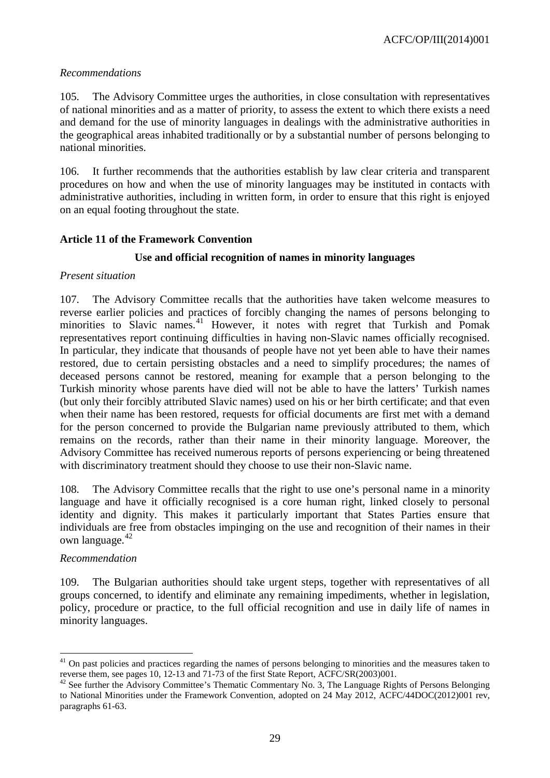### *Recommendations*

105. The Advisory Committee urges the authorities, in close consultation with representatives of national minorities and as a matter of priority, to assess the extent to which there exists a need and demand for the use of minority languages in dealings with the administrative authorities in the geographical areas inhabited traditionally or by a substantial number of persons belonging to national minorities.

106. It further recommends that the authorities establish by law clear criteria and transparent procedures on how and when the use of minority languages may be instituted in contacts with administrative authorities, including in written form, in order to ensure that this right is enjoyed on an equal footing throughout the state.

### <span id="page-28-0"></span>**Article 11 of the Framework Convention**

# **Use and official recognition of names in minority languages**

### *Present situation*

107. The Advisory Committee recalls that the authorities have taken welcome measures to reverse earlier policies and practices of forcibly changing the names of persons belonging to minorities to Slavic names.<sup>[41](#page-28-1)</sup> However, it notes with regret that Turkish and Pomak representatives report continuing difficulties in having non-Slavic names officially recognised. In particular, they indicate that thousands of people have not yet been able to have their names restored, due to certain persisting obstacles and a need to simplify procedures; the names of deceased persons cannot be restored, meaning for example that a person belonging to the Turkish minority whose parents have died will not be able to have the latters' Turkish names (but only their forcibly attributed Slavic names) used on his or her birth certificate; and that even when their name has been restored, requests for official documents are first met with a demand for the person concerned to provide the Bulgarian name previously attributed to them, which remains on the records, rather than their name in their minority language. Moreover, the Advisory Committee has received numerous reports of persons experiencing or being threatened with discriminatory treatment should they choose to use their non-Slavic name.

108. The Advisory Committee recalls that the right to use one's personal name in a minority language and have it officially recognised is a core human right, linked closely to personal identity and dignity. This makes it particularly important that States Parties ensure that individuals are free from obstacles impinging on the use and recognition of their names in their own language.<sup>[42](#page-28-2)</sup>

### *Recommendation*

109. The Bulgarian authorities should take urgent steps, together with representatives of all groups concerned, to identify and eliminate any remaining impediments, whether in legislation, policy, procedure or practice, to the full official recognition and use in daily life of names in minority languages.

<span id="page-28-1"></span> $41$  On past policies and practices regarding the names of persons belonging to minorities and the measures taken to reverse them, see pages 10, 12-13 and 71-73 of the first State Report, ACFC/SR(2003)001.<br><sup>42</sup> See further the Advisory Committee's Thematic Commentary No. 3, The Language Rights of Persons Belonging  $\overline{a}$ 

<span id="page-28-2"></span>to National Minorities under the Framework Convention, adopted on 24 May 2012, ACFC/44DOC(2012)001 rev, paragraphs 61-63.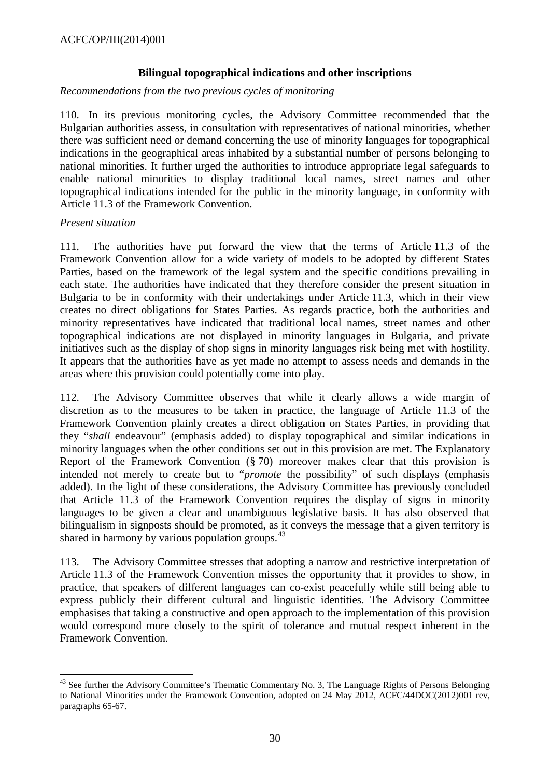### **Bilingual topographical indications and other inscriptions**

### *Recommendations from the two previous cycles of monitoring*

110. In its previous monitoring cycles, the Advisory Committee recommended that the Bulgarian authorities assess, in consultation with representatives of national minorities, whether there was sufficient need or demand concerning the use of minority languages for topographical indications in the geographical areas inhabited by a substantial number of persons belonging to national minorities. It further urged the authorities to introduce appropriate legal safeguards to enable national minorities to display traditional local names, street names and other topographical indications intended for the public in the minority language, in conformity with Article 11.3 of the Framework Convention.

### *Present situation*

111. The authorities have put forward the view that the terms of Article 11.3 of the Framework Convention allow for a wide variety of models to be adopted by different States Parties, based on the framework of the legal system and the specific conditions prevailing in each state. The authorities have indicated that they therefore consider the present situation in Bulgaria to be in conformity with their undertakings under Article 11.3, which in their view creates no direct obligations for States Parties. As regards practice, both the authorities and minority representatives have indicated that traditional local names, street names and other topographical indications are not displayed in minority languages in Bulgaria, and private initiatives such as the display of shop signs in minority languages risk being met with hostility. It appears that the authorities have as yet made no attempt to assess needs and demands in the areas where this provision could potentially come into play.

112. The Advisory Committee observes that while it clearly allows a wide margin of discretion as to the measures to be taken in practice, the language of Article 11.3 of the Framework Convention plainly creates a direct obligation on States Parties, in providing that they "*shall* endeavour" (emphasis added) to display topographical and similar indications in minority languages when the other conditions set out in this provision are met. The Explanatory Report of the Framework Convention (§ 70) moreover makes clear that this provision is intended not merely to create but to "*promote* the possibility" of such displays (emphasis added). In the light of these considerations, the Advisory Committee has previously concluded that Article 11.3 of the Framework Convention requires the display of signs in minority languages to be given a clear and unambiguous legislative basis. It has also observed that bilingualism in signposts should be promoted, as it conveys the message that a given territory is shared in harmony by various population groups.  $43$ 

113. The Advisory Committee stresses that adopting a narrow and restrictive interpretation of Article 11.3 of the Framework Convention misses the opportunity that it provides to show, in practice, that speakers of different languages can co-exist peacefully while still being able to express publicly their different cultural and linguistic identities. The Advisory Committee emphasises that taking a constructive and open approach to the implementation of this provision would correspond more closely to the spirit of tolerance and mutual respect inherent in the Framework Convention.

<span id="page-29-0"></span><sup>&</sup>lt;sup>43</sup> See further the Advisory Committee's Thematic Commentary No. 3, The Language Rights of Persons Belonging to National Minorities under the Framework Convention, adopted on 24 May 2012, ACFC/44DOC(2012)001 rev, paragraphs 65-67. -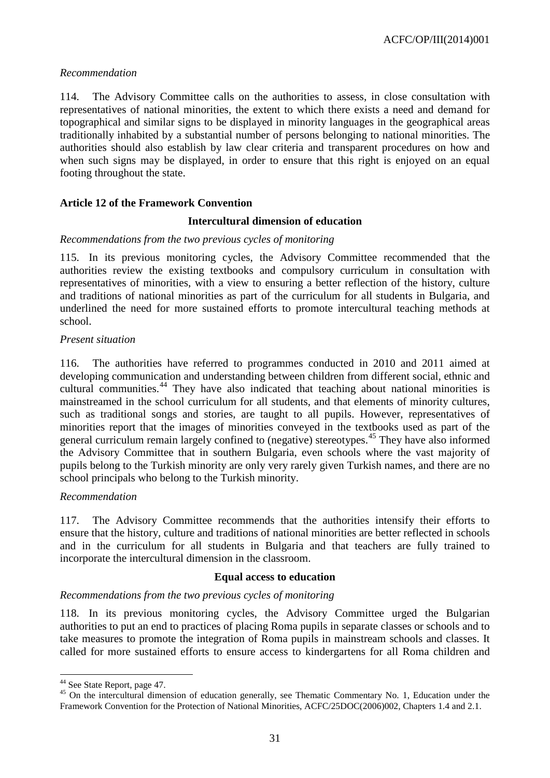### *Recommendation*

114. The Advisory Committee calls on the authorities to assess, in close consultation with representatives of national minorities, the extent to which there exists a need and demand for topographical and similar signs to be displayed in minority languages in the geographical areas traditionally inhabited by a substantial number of persons belonging to national minorities. The authorities should also establish by law clear criteria and transparent procedures on how and when such signs may be displayed, in order to ensure that this right is enjoyed on an equal footing throughout the state.

### <span id="page-30-0"></span>**Article 12 of the Framework Convention**

### **Intercultural dimension of education**

#### *Recommendations from the two previous cycles of monitoring*

115. In its previous monitoring cycles, the Advisory Committee recommended that the authorities review the existing textbooks and compulsory curriculum in consultation with representatives of minorities, with a view to ensuring a better reflection of the history, culture and traditions of national minorities as part of the curriculum for all students in Bulgaria, and underlined the need for more sustained efforts to promote intercultural teaching methods at school.

### *Present situation*

116. The authorities have referred to programmes conducted in 2010 and 2011 aimed at developing communication and understanding between children from different social, ethnic and cultural communities.<sup>[44](#page-30-1)</sup> They have also indicated that teaching about national minorities is mainstreamed in the school curriculum for all students, and that elements of minority cultures, such as traditional songs and stories, are taught to all pupils. However, representatives of minorities report that the images of minorities conveyed in the textbooks used as part of the general curriculum remain largely confined to (negative) stereotypes.<sup>[45](#page-30-2)</sup> They have also informed the Advisory Committee that in southern Bulgaria, even schools where the vast majority of pupils belong to the Turkish minority are only very rarely given Turkish names, and there are no school principals who belong to the Turkish minority.

#### *Recommendation*

117. The Advisory Committee recommends that the authorities intensify their efforts to ensure that the history, culture and traditions of national minorities are better reflected in schools and in the curriculum for all students in Bulgaria and that teachers are fully trained to incorporate the intercultural dimension in the classroom.

#### **Equal access to education**

### *Recommendations from the two previous cycles of monitoring*

118. In its previous monitoring cycles, the Advisory Committee urged the Bulgarian authorities to put an end to practices of placing Roma pupils in separate classes or schools and to take measures to promote the integration of Roma pupils in mainstream schools and classes. It called for more sustained efforts to ensure access to kindergartens for all Roma children and

<span id="page-30-1"></span><sup>&</sup>lt;sup>44</sup> See State Report, page 47.

<span id="page-30-2"></span> $45$  On the intercultural dimension of education generally, see Thematic Commentary No. 1, Education under the Framework Convention for the Protection of National Minorities, ACFC/25DOC(2006)002, Chapters 1.4 and 2.1.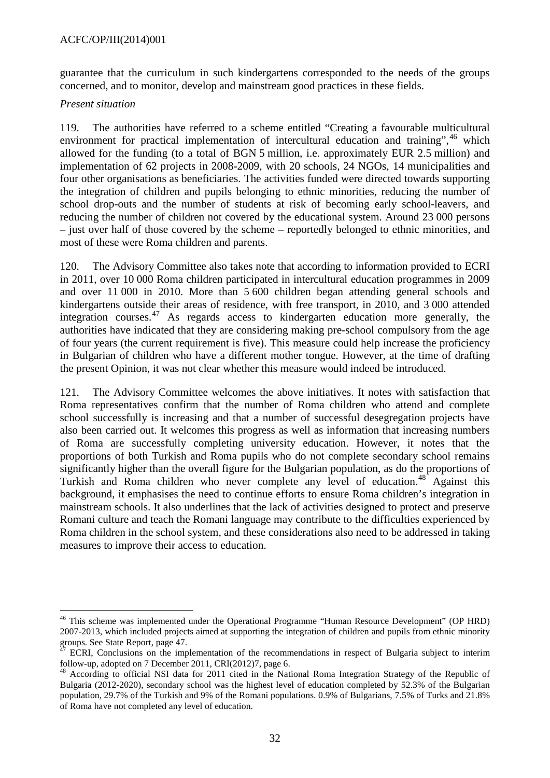### ACFC/OP/III(2014)001

guarantee that the curriculum in such kindergartens corresponded to the needs of the groups concerned, and to monitor, develop and mainstream good practices in these fields.

#### *Present situation*

119. The authorities have referred to a scheme entitled "Creating a favourable multicultural environment for practical implementation of intercultural education and training", $46$  which allowed for the funding (to a total of BGN 5 million, i.e. approximately EUR 2.5 million) and implementation of 62 projects in 2008-2009, with 20 schools, 24 NGOs, 14 municipalities and four other organisations as beneficiaries. The activities funded were directed towards supporting the integration of children and pupils belonging to ethnic minorities, reducing the number of school drop-outs and the number of students at risk of becoming early school-leavers, and reducing the number of children not covered by the educational system. Around 23 000 persons – just over half of those covered by the scheme – reportedly belonged to ethnic minorities, and most of these were Roma children and parents.

120. The Advisory Committee also takes note that according to information provided to ECRI in 2011, over 10 000 Roma children participated in intercultural education programmes in 2009 and over 11 000 in 2010. More than 5 600 children began attending general schools and kindergartens outside their areas of residence, with free transport, in 2010, and 3 000 attended integration courses.[47](#page-31-1) As regards access to kindergarten education more generally, the authorities have indicated that they are considering making pre-school compulsory from the age of four years (the current requirement is five). This measure could help increase the proficiency in Bulgarian of children who have a different mother tongue. However, at the time of drafting the present Opinion, it was not clear whether this measure would indeed be introduced.

121. The Advisory Committee welcomes the above initiatives. It notes with satisfaction that Roma representatives confirm that the number of Roma children who attend and complete school successfully is increasing and that a number of successful desegregation projects have also been carried out. It welcomes this progress as well as information that increasing numbers of Roma are successfully completing university education. However, it notes that the proportions of both Turkish and Roma pupils who do not complete secondary school remains significantly higher than the overall figure for the Bulgarian population, as do the proportions of Turkish and Roma children who never complete any level of education.<sup>[48](#page-31-2)</sup> Against this background, it emphasises the need to continue efforts to ensure Roma children's integration in mainstream schools. It also underlines that the lack of activities designed to protect and preserve Romani culture and teach the Romani language may contribute to the difficulties experienced by Roma children in the school system, and these considerations also need to be addressed in taking measures to improve their access to education.

<span id="page-31-0"></span><sup>&</sup>lt;sup>46</sup> This scheme was implemented under the Operational Programme "Human Resource Development" (OP HRD) 2007-2013, which included projects aimed at supporting the integration of children and pupils from ethnic minority  $\overline{a}$ 

<span id="page-31-1"></span>groups. See State Report, page 47.<br><sup>47</sup> ECRI, Conclusions on the implementation of the recommendations in respect of Bulgaria subject to interim follow-up, adopted on 7 December 2011, CRI(2012)7, page 6.

<span id="page-31-2"></span><sup>&</sup>lt;sup>48</sup> According to official NSI data for 2011 cited in the National Roma Integration Strategy of the Republic of Bulgaria (2012-2020), secondary school was the highest level of education completed by 52.3% of the Bulgarian population, 29.7% of the Turkish and 9% of the Romani populations. 0.9% of Bulgarians, 7.5% of Turks and 21.8% of Roma have not completed any level of education.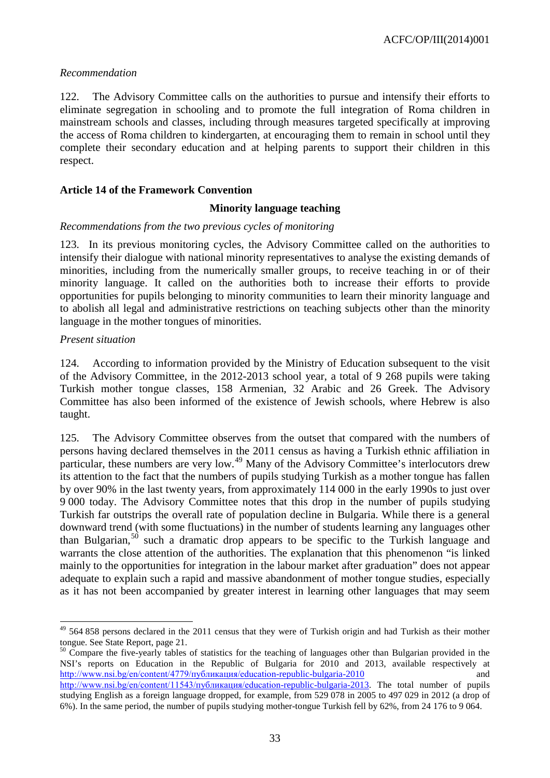#### *Recommendation*

122. The Advisory Committee calls on the authorities to pursue and intensify their efforts to eliminate segregation in schooling and to promote the full integration of Roma children in mainstream schools and classes, including through measures targeted specifically at improving the access of Roma children to kindergarten, at encouraging them to remain in school until they complete their secondary education and at helping parents to support their children in this respect.

### <span id="page-32-0"></span>**Article 14 of the Framework Convention**

#### **Minority language teaching**

#### *Recommendations from the two previous cycles of monitoring*

123. In its previous monitoring cycles, the Advisory Committee called on the authorities to intensify their dialogue with national minority representatives to analyse the existing demands of minorities, including from the numerically smaller groups, to receive teaching in or of their minority language. It called on the authorities both to increase their efforts to provide opportunities for pupils belonging to minority communities to learn their minority language and to abolish all legal and administrative restrictions on teaching subjects other than the minority language in the mother tongues of minorities.

#### *Present situation*

124. According to information provided by the Ministry of Education subsequent to the visit of the Advisory Committee, in the 2012-2013 school year, a total of 9 268 pupils were taking Turkish mother tongue classes, 158 Armenian, 32 Arabic and 26 Greek. The Advisory Committee has also been informed of the existence of Jewish schools, where Hebrew is also taught.

125. The Advisory Committee observes from the outset that compared with the numbers of persons having declared themselves in the 2011 census as having a Turkish ethnic affiliation in particular, these numbers are very low.<sup>[49](#page-32-1)</sup> Many of the Advisory Committee's interlocutors drew its attention to the fact that the numbers of pupils studying Turkish as a mother tongue has fallen by over 90% in the last twenty years, from approximately 114 000 in the early 1990s to just over 9 000 today. The Advisory Committee notes that this drop in the number of pupils studying Turkish far outstrips the overall rate of population decline in Bulgaria. While there is a general downward trend (with some fluctuations) in the number of students learning any languages other than Bulgarian,<sup>[50](#page-32-2)</sup> such a dramatic drop appears to be specific to the Turkish language and warrants the close attention of the authorities. The explanation that this phenomenon "is linked mainly to the opportunities for integration in the labour market after graduation" does not appear adequate to explain such a rapid and massive abandonment of mother tongue studies, especially as it has not been accompanied by greater interest in learning other languages that may seem

<span id="page-32-2"></span>NSI's reports on Education in the Republic of Bulgaria for 2010 and 2013, available respectively at [http://www.nsi.bg/en/content/4779/публикация/education](http://www.nsi.bg/en/content/4779/%D0%BF%D1%83%D0%B1%D0%BB%D0%B8%D0%BA%D0%B0%D1%86%D0%B8%D1%8F/education-republic-bulgaria-2010)-republic-bulgaria-2010 and [http://www.nsi.bg/en/content/11543/публикация/education](http://www.nsi.bg/en/content/11543/%D0%BF%D1%83%D0%B1%D0%BB%D0%B8%D0%BA%D0%B0%D1%86%D0%B8%D1%8F/education-republic-bulgaria-2013)-republic-bulgaria-2013. The total number of pupils studying English as a foreign language dropped, for example, from 529 078 in 2005 to 497 029 in 2012 (a drop of 6%). In the same period, the number of pupils studying mother-tongue Turkish fell by 62%, from 24 176 to 9 064.

<span id="page-32-1"></span><sup>&</sup>lt;sup>49</sup> 564 858 persons declared in the 2011 census that they were of Turkish origin and had Turkish as their mother tongue. See State Report, page 21.<br><sup>50</sup> Compare the five-yearly tables of statistics for the teaching of languages other than Bulgarian provided in the  $\overline{1}$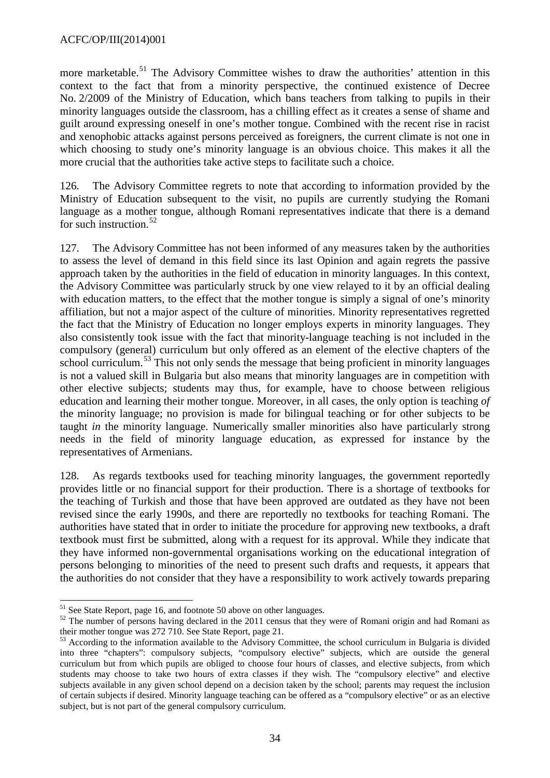more marketable.<sup>[51](#page-33-0)</sup> The Advisory Committee wishes to draw the authorities' attention in this context to the fact that from a minority perspective, the continued existence of Decree No. 2/2009 of the Ministry of Education, which bans teachers from talking to pupils in their minority languages outside the classroom, has a chilling effect as it creates a sense of shame and guilt around expressing oneself in one's mother tongue. Combined with the recent rise in racist and xenophobic attacks against persons perceived as foreigners, the current climate is not one in which choosing to study one's minority language is an obvious choice. This makes it all the more crucial that the authorities take active steps to facilitate such a choice.

126. The Advisory Committee regrets to note that according to information provided by the Ministry of Education subsequent to the visit, no pupils are currently studying the Romani language as a mother tongue, although Romani representatives indicate that there is a demand for such instruction.<sup>[52](#page-33-1)</sup>

127. The Advisory Committee has not been informed of any measures taken by the authorities to assess the level of demand in this field since its last Opinion and again regrets the passive approach taken by the authorities in the field of education in minority languages. In this context, the Advisory Committee was particularly struck by one view relayed to it by an official dealing with education matters, to the effect that the mother tongue is simply a signal of one's minority affiliation, but not a major aspect of the culture of minorities. Minority representatives regretted the fact that the Ministry of Education no longer employs experts in minority languages. They also consistently took issue with the fact that minority-language teaching is not included in the compulsory (general) curriculum but only offered as an element of the elective chapters of the school curriculum.<sup>[53](#page-33-2)</sup> This not only sends the message that being proficient in minority languages is not a valued skill in Bulgaria but also means that minority languages are in competition with other elective subjects; students may thus, for example, have to choose between religious education and learning their mother tongue. Moreover, in all cases, the only option is teaching *of* the minority language; no provision is made for bilingual teaching or for other subjects to be taught *in* the minority language. Numerically smaller minorities also have particularly strong needs in the field of minority language education, as expressed for instance by the representatives of Armenians.

128. As regards textbooks used for teaching minority languages, the government reportedly provides little or no financial support for their production. There is a shortage of textbooks for the teaching of Turkish and those that have been approved are outdated as they have not been revised since the early 1990s, and there are reportedly no textbooks for teaching Romani. The authorities have stated that in order to initiate the procedure for approving new textbooks, a draft textbook must first be submitted, along with a request for its approval. While they indicate that they have informed non-governmental organisations working on the educational integration of persons belonging to minorities of the need to present such drafts and requests, it appears that the authorities do not consider that they have a responsibility to work actively towards preparing

<span id="page-33-0"></span> $51$  See State Report, page 16, and footnote 50 above on other languages.

<span id="page-33-1"></span> $52$  The number of persons having declared in the 2011 census that they were of Romani origin and had Romani as their mother tongue was 272 710. See State Report, page 21.

<span id="page-33-2"></span> $53$  According to the information available to the Advisory Committee, the school curriculum in Bulgaria is divided into three "chapters": compulsory subjects, "compulsory elective" subjects, which are outside the general curriculum but from which pupils are obliged to choose four hours of classes, and elective subjects, from which students may choose to take two hours of extra classes if they wish. The "compulsory elective" and elective subjects available in any given school depend on a decision taken by the school; parents may request the inclusion of certain subjects if desired. Minority language teaching can be offered as a "compulsory elective" or as an elective subject, but is not part of the general compulsory curriculum.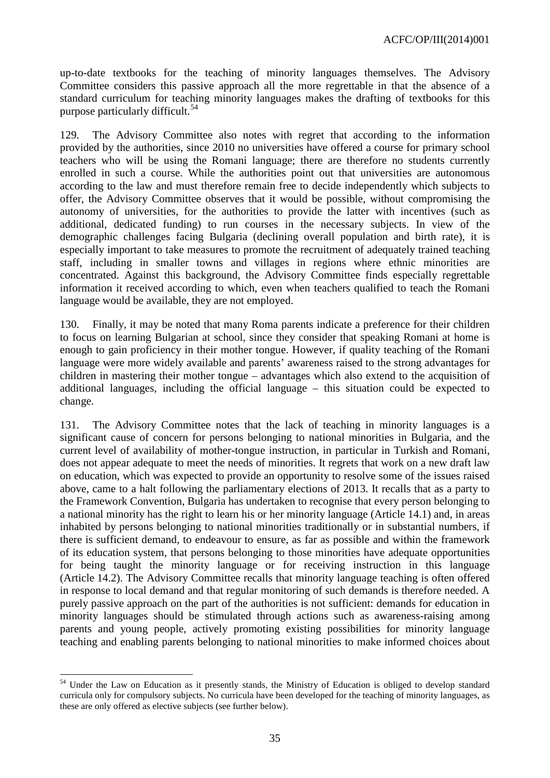up-to-date textbooks for the teaching of minority languages themselves. The Advisory Committee considers this passive approach all the more regrettable in that the absence of a standard curriculum for teaching minority languages makes the drafting of textbooks for this purpose particularly difficult.<sup>[54](#page-34-0)</sup>

129. The Advisory Committee also notes with regret that according to the information provided by the authorities, since 2010 no universities have offered a course for primary school teachers who will be using the Romani language; there are therefore no students currently enrolled in such a course. While the authorities point out that universities are autonomous according to the law and must therefore remain free to decide independently which subjects to offer, the Advisory Committee observes that it would be possible, without compromising the autonomy of universities, for the authorities to provide the latter with incentives (such as additional, dedicated funding) to run courses in the necessary subjects. In view of the demographic challenges facing Bulgaria (declining overall population and birth rate), it is especially important to take measures to promote the recruitment of adequately trained teaching staff, including in smaller towns and villages in regions where ethnic minorities are concentrated. Against this background, the Advisory Committee finds especially regrettable information it received according to which, even when teachers qualified to teach the Romani language would be available, they are not employed.

130. Finally, it may be noted that many Roma parents indicate a preference for their children to focus on learning Bulgarian at school, since they consider that speaking Romani at home is enough to gain proficiency in their mother tongue. However, if quality teaching of the Romani language were more widely available and parents' awareness raised to the strong advantages for children in mastering their mother tongue – advantages which also extend to the acquisition of additional languages, including the official language – this situation could be expected to change.

131. The Advisory Committee notes that the lack of teaching in minority languages is a significant cause of concern for persons belonging to national minorities in Bulgaria, and the current level of availability of mother-tongue instruction, in particular in Turkish and Romani, does not appear adequate to meet the needs of minorities. It regrets that work on a new draft law on education, which was expected to provide an opportunity to resolve some of the issues raised above, came to a halt following the parliamentary elections of 2013. It recalls that as a party to the Framework Convention, Bulgaria has undertaken to recognise that every person belonging to a national minority has the right to learn his or her minority language (Article 14.1) and, in areas inhabited by persons belonging to national minorities traditionally or in substantial numbers, if there is sufficient demand, to endeavour to ensure, as far as possible and within the framework of its education system, that persons belonging to those minorities have adequate opportunities for being taught the minority language or for receiving instruction in this language (Article 14.2). The Advisory Committee recalls that minority language teaching is often offered in response to local demand and that regular monitoring of such demands is therefore needed. A purely passive approach on the part of the authorities is not sufficient: demands for education in minority languages should be stimulated through actions such as awareness-raising among parents and young people, actively promoting existing possibilities for minority language teaching and enabling parents belonging to national minorities to make informed choices about

<span id="page-34-0"></span><sup>&</sup>lt;sup>54</sup> Under the Law on Education as it presently stands, the Ministry of Education is obliged to develop standard curricula only for compulsory subjects. No curricula have been developed for the teaching of minority languages, as these are only offered as elective subjects (see further below). -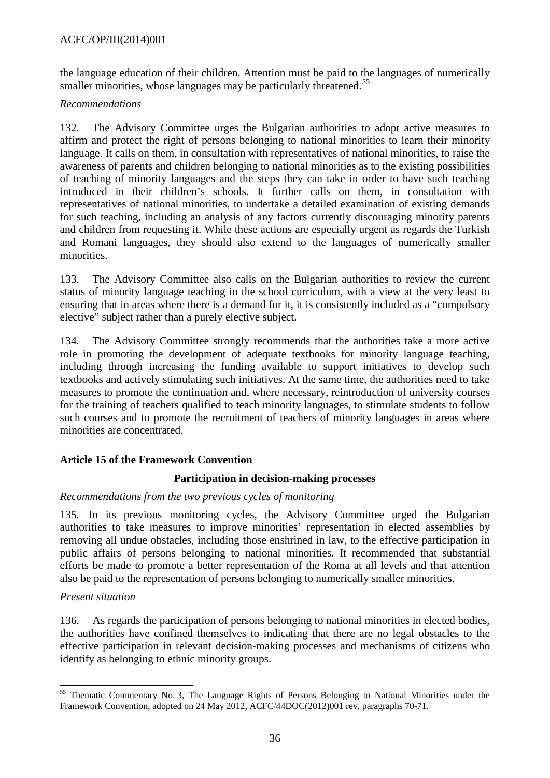the language education of their children. Attention must be paid to the languages of numerically smaller minorities, whose languages may be particularly threatened.<sup>[55](#page-35-1)</sup>

### *Recommendations*

132. The Advisory Committee urges the Bulgarian authorities to adopt active measures to affirm and protect the right of persons belonging to national minorities to learn their minority language. It calls on them, in consultation with representatives of national minorities, to raise the awareness of parents and children belonging to national minorities as to the existing possibilities of teaching of minority languages and the steps they can take in order to have such teaching introduced in their children's schools. It further calls on them, in consultation with representatives of national minorities, to undertake a detailed examination of existing demands for such teaching, including an analysis of any factors currently discouraging minority parents and children from requesting it. While these actions are especially urgent as regards the Turkish and Romani languages, they should also extend to the languages of numerically smaller minorities.

133. The Advisory Committee also calls on the Bulgarian authorities to review the current status of minority language teaching in the school curriculum, with a view at the very least to ensuring that in areas where there is a demand for it, it is consistently included as a "compulsory elective" subject rather than a purely elective subject.

134. The Advisory Committee strongly recommends that the authorities take a more active role in promoting the development of adequate textbooks for minority language teaching, including through increasing the funding available to support initiatives to develop such textbooks and actively stimulating such initiatives. At the same time, the authorities need to take measures to promote the continuation and, where necessary, reintroduction of university courses for the training of teachers qualified to teach minority languages, to stimulate students to follow such courses and to promote the recruitment of teachers of minority languages in areas where minorities are concentrated.

### <span id="page-35-0"></span>**Article 15 of the Framework Convention**

### **Participation in decision-making processes**

### *Recommendations from the two previous cycles of monitoring*

135. In its previous monitoring cycles, the Advisory Committee urged the Bulgarian authorities to take measures to improve minorities' representation in elected assemblies by removing all undue obstacles, including those enshrined in law, to the effective participation in public affairs of persons belonging to national minorities. It recommended that substantial efforts be made to promote a better representation of the Roma at all levels and that attention also be paid to the representation of persons belonging to numerically smaller minorities.

### *Present situation*

136. As regards the participation of persons belonging to national minorities in elected bodies, the authorities have confined themselves to indicating that there are no legal obstacles to the effective participation in relevant decision-making processes and mechanisms of citizens who identify as belonging to ethnic minority groups.

<span id="page-35-1"></span><sup>&</sup>lt;sup>55</sup> Thematic Commentary No. 3, The Language Rights of Persons Belonging to National Minorities under the Framework Convention, adopted on 24 May 2012, ACFC/44DOC(2012)001 rev, paragraphs 70-71.  $\overline{\phantom{a}}$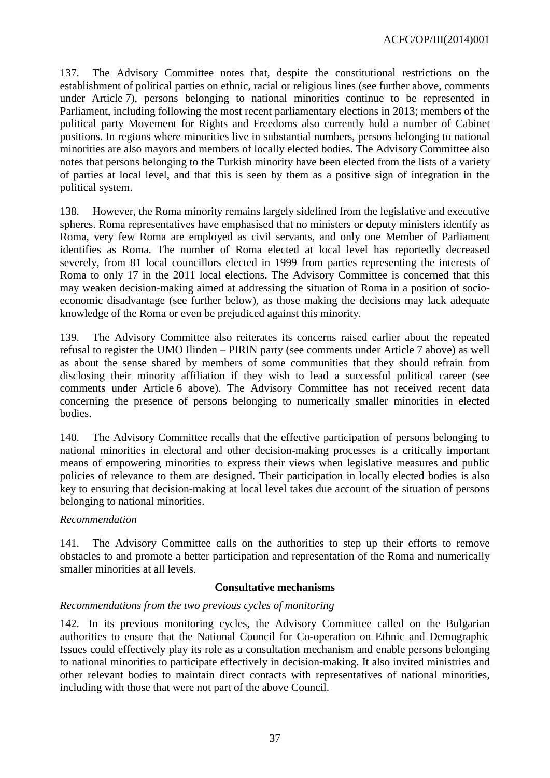137. The Advisory Committee notes that, despite the constitutional restrictions on the establishment of political parties on ethnic, racial or religious lines (see further above, comments under Article 7), persons belonging to national minorities continue to be represented in Parliament, including following the most recent parliamentary elections in 2013; members of the political party Movement for Rights and Freedoms also currently hold a number of Cabinet positions. In regions where minorities live in substantial numbers, persons belonging to national minorities are also mayors and members of locally elected bodies. The Advisory Committee also notes that persons belonging to the Turkish minority have been elected from the lists of a variety of parties at local level, and that this is seen by them as a positive sign of integration in the political system.

138. However, the Roma minority remains largely sidelined from the legislative and executive spheres. Roma representatives have emphasised that no ministers or deputy ministers identify as Roma, very few Roma are employed as civil servants, and only one Member of Parliament identifies as Roma. The number of Roma elected at local level has reportedly decreased severely, from 81 local councillors elected in 1999 from parties representing the interests of Roma to only 17 in the 2011 local elections. The Advisory Committee is concerned that this may weaken decision-making aimed at addressing the situation of Roma in a position of socioeconomic disadvantage (see further below), as those making the decisions may lack adequate knowledge of the Roma or even be prejudiced against this minority.

139. The Advisory Committee also reiterates its concerns raised earlier about the repeated refusal to register the UMO Ilinden – PIRIN party (see comments under Article 7 above) as well as about the sense shared by members of some communities that they should refrain from disclosing their minority affiliation if they wish to lead a successful political career (see comments under Article 6 above). The Advisory Committee has not received recent data concerning the presence of persons belonging to numerically smaller minorities in elected bodies.

140. The Advisory Committee recalls that the effective participation of persons belonging to national minorities in electoral and other decision-making processes is a critically important means of empowering minorities to express their views when legislative measures and public policies of relevance to them are designed. Their participation in locally elected bodies is also key to ensuring that decision-making at local level takes due account of the situation of persons belonging to national minorities.

#### *Recommendation*

141. The Advisory Committee calls on the authorities to step up their efforts to remove obstacles to and promote a better participation and representation of the Roma and numerically smaller minorities at all levels.

#### **Consultative mechanisms**

#### *Recommendations from the two previous cycles of monitoring*

142. In its previous monitoring cycles, the Advisory Committee called on the Bulgarian authorities to ensure that the National Council for Co-operation on Ethnic and Demographic Issues could effectively play its role as a consultation mechanism and enable persons belonging to national minorities to participate effectively in decision-making. It also invited ministries and other relevant bodies to maintain direct contacts with representatives of national minorities, including with those that were not part of the above Council.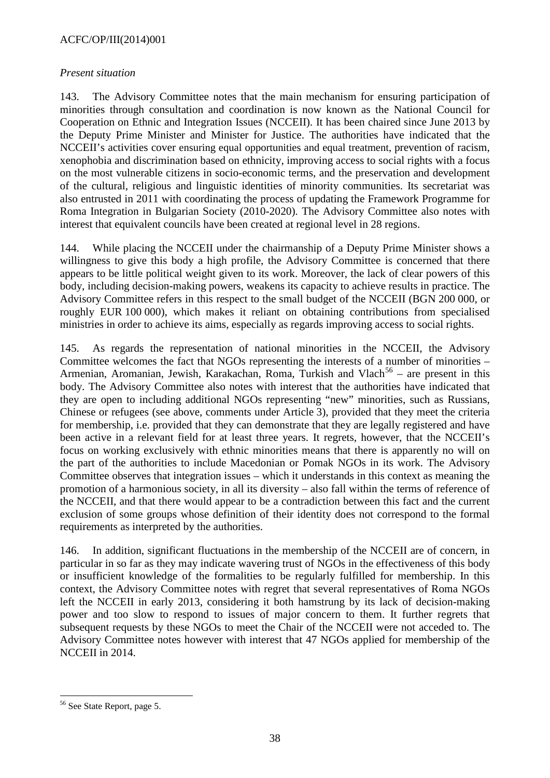### ACFC/OP/III(2014)001

#### *Present situation*

143. The Advisory Committee notes that the main mechanism for ensuring participation of minorities through consultation and coordination is now known as the National Council for Cooperation on Ethnic and Integration Issues (NCCEII). It has been chaired since June 2013 by the Deputy Prime Minister and Minister for Justice. The authorities have indicated that the NCCEII's activities cover ensuring equal opportunities and equal treatment, prevention of racism, xenophobia and discrimination based on ethnicity, improving access to social rights with a focus on the most vulnerable citizens in socio-economic terms, and the preservation and development of the cultural, religious and linguistic identities of minority communities. Its secretariat was also entrusted in 2011 with coordinating the process of updating the Framework Programme for Roma Integration in Bulgarian Society (2010-2020). The Advisory Committee also notes with interest that equivalent councils have been created at regional level in 28 regions.

144. While placing the NCCEII under the chairmanship of a Deputy Prime Minister shows a willingness to give this body a high profile, the Advisory Committee is concerned that there appears to be little political weight given to its work. Moreover, the lack of clear powers of this body, including decision-making powers, weakens its capacity to achieve results in practice. The Advisory Committee refers in this respect to the small budget of the NCCEII (BGN 200 000, or roughly EUR 100 000), which makes it reliant on obtaining contributions from specialised ministries in order to achieve its aims, especially as regards improving access to social rights.

145. As regards the representation of national minorities in the NCCEII, the Advisory Committee welcomes the fact that NGOs representing the interests of a number of minorities – Armenian, Aromanian, Jewish, Karakachan, Roma, Turkish and Vlach<sup>[56](#page-37-0)</sup> – are present in this body. The Advisory Committee also notes with interest that the authorities have indicated that they are open to including additional NGOs representing "new" minorities, such as Russians, Chinese or refugees (see above, comments under Article 3), provided that they meet the criteria for membership, i.e. provided that they can demonstrate that they are legally registered and have been active in a relevant field for at least three years. It regrets, however, that the NCCEII's focus on working exclusively with ethnic minorities means that there is apparently no will on the part of the authorities to include Macedonian or Pomak NGOs in its work. The Advisory Committee observes that integration issues – which it understands in this context as meaning the promotion of a harmonious society, in all its diversity – also fall within the terms of reference of the NCCEII, and that there would appear to be a contradiction between this fact and the current exclusion of some groups whose definition of their identity does not correspond to the formal requirements as interpreted by the authorities.

146. In addition, significant fluctuations in the membership of the NCCEII are of concern, in particular in so far as they may indicate wavering trust of NGOs in the effectiveness of this body or insufficient knowledge of the formalities to be regularly fulfilled for membership. In this context, the Advisory Committee notes with regret that several representatives of Roma NGOs left the NCCEII in early 2013, considering it both hamstrung by its lack of decision-making power and too slow to respond to issues of major concern to them. It further regrets that subsequent requests by these NGOs to meet the Chair of the NCCEII were not acceded to. The Advisory Committee notes however with interest that 47 NGOs applied for membership of the NCCEII in 2014.

<span id="page-37-0"></span><sup>&</sup>lt;sup>56</sup> See State Report, page 5.  $\overline{a}$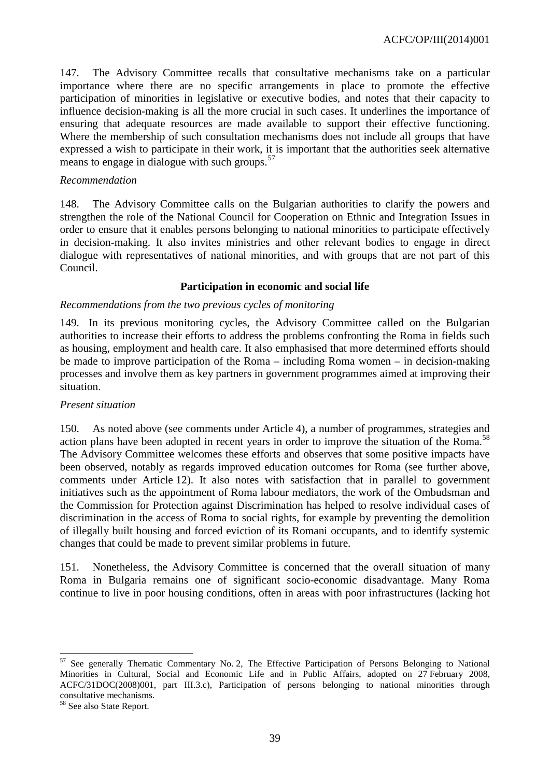ACFC/OP/III(2014)001

147. The Advisory Committee recalls that consultative mechanisms take on a particular importance where there are no specific arrangements in place to promote the effective participation of minorities in legislative or executive bodies, and notes that their capacity to influence decision-making is all the more crucial in such cases. It underlines the importance of ensuring that adequate resources are made available to support their effective functioning. Where the membership of such consultation mechanisms does not include all groups that have expressed a wish to participate in their work, it is important that the authorities seek alternative means to engage in dialogue with such groups.<sup>[57](#page-38-0)</sup>

#### *Recommendation*

148. The Advisory Committee calls on the Bulgarian authorities to clarify the powers and strengthen the role of the National Council for Cooperation on Ethnic and Integration Issues in order to ensure that it enables persons belonging to national minorities to participate effectively in decision-making. It also invites ministries and other relevant bodies to engage in direct dialogue with representatives of national minorities, and with groups that are not part of this Council.

#### **Participation in economic and social life**

#### *Recommendations from the two previous cycles of monitoring*

149. In its previous monitoring cycles, the Advisory Committee called on the Bulgarian authorities to increase their efforts to address the problems confronting the Roma in fields such as housing, employment and health care. It also emphasised that more determined efforts should be made to improve participation of the Roma – including Roma women – in decision-making processes and involve them as key partners in government programmes aimed at improving their situation.

#### *Present situation*

150. As noted above (see comments under Article 4), a number of programmes, strategies and action plans have been adopted in recent years in order to improve the situation of the Roma.<sup>[58](#page-38-1)</sup> The Advisory Committee welcomes these efforts and observes that some positive impacts have been observed, notably as regards improved education outcomes for Roma (see further above, comments under Article 12). It also notes with satisfaction that in parallel to government initiatives such as the appointment of Roma labour mediators, the work of the Ombudsman and the Commission for Protection against Discrimination has helped to resolve individual cases of discrimination in the access of Roma to social rights, for example by preventing the demolition of illegally built housing and forced eviction of its Romani occupants, and to identify systemic changes that could be made to prevent similar problems in future.

151. Nonetheless, the Advisory Committee is concerned that the overall situation of many Roma in Bulgaria remains one of significant socio-economic disadvantage. Many Roma continue to live in poor housing conditions, often in areas with poor infrastructures (lacking hot

<span id="page-38-0"></span><sup>&</sup>lt;sup>57</sup> See generally Thematic Commentary No. 2, The Effective Participation of Persons Belonging to National Minorities in Cultural, Social and Economic Life and in Public Affairs, adopted on 27 February 2008, ACFC/31DOC(2008)001, part III.3.c), Participation of persons belonging to national minorities through consultative mechanisms.  $\overline{a}$ 

<span id="page-38-1"></span><sup>58</sup> See also State Report.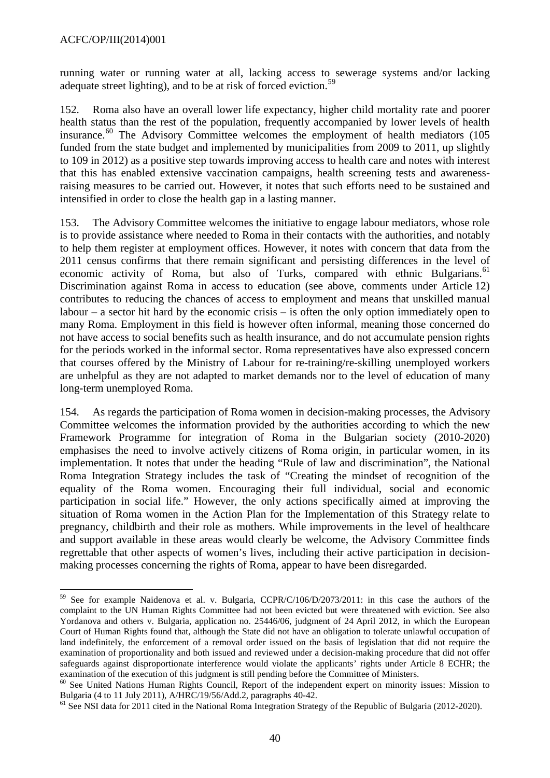running water or running water at all, lacking access to sewerage systems and/or lacking adequate street lighting), and to be at risk of forced eviction.<sup>[59](#page-39-0)</sup>

152. Roma also have an overall lower life expectancy, higher child mortality rate and poorer health status than the rest of the population, frequently accompanied by lower levels of health insurance. $60$  The Advisory Committee welcomes the employment of health mediators (105) funded from the state budget and implemented by municipalities from 2009 to 2011, up slightly to 109 in 2012) as a positive step towards improving access to health care and notes with interest that this has enabled extensive vaccination campaigns, health screening tests and awarenessraising measures to be carried out. However, it notes that such efforts need to be sustained and intensified in order to close the health gap in a lasting manner.

153. The Advisory Committee welcomes the initiative to engage labour mediators, whose role is to provide assistance where needed to Roma in their contacts with the authorities, and notably to help them register at employment offices. However, it notes with concern that data from the 2011 census confirms that there remain significant and persisting differences in the level of economic activity of Roma, but also of Turks, compared with ethnic Bulgarians.<sup>[61](#page-39-2)</sup> Discrimination against Roma in access to education (see above, comments under Article 12) contributes to reducing the chances of access to employment and means that unskilled manual labour – a sector hit hard by the economic crisis – is often the only option immediately open to many Roma. Employment in this field is however often informal, meaning those concerned do not have access to social benefits such as health insurance, and do not accumulate pension rights for the periods worked in the informal sector. Roma representatives have also expressed concern that courses offered by the Ministry of Labour for re-training/re-skilling unemployed workers are unhelpful as they are not adapted to market demands nor to the level of education of many long-term unemployed Roma.

154. As regards the participation of Roma women in decision-making processes, the Advisory Committee welcomes the information provided by the authorities according to which the new Framework Programme for integration of Roma in the Bulgarian society (2010-2020) emphasises the need to involve actively citizens of Roma origin, in particular women, in its implementation. It notes that under the heading "Rule of law and discrimination", the National Roma Integration Strategy includes the task of "Creating the mindset of recognition of the equality of the Roma women. Encouraging their full individual, social and economic participation in social life." However, the only actions specifically aimed at improving the situation of Roma women in the Action Plan for the Implementation of this Strategy relate to pregnancy, childbirth and their role as mothers. While improvements in the level of healthcare and support available in these areas would clearly be welcome, the Advisory Committee finds regrettable that other aspects of women's lives, including their active participation in decisionmaking processes concerning the rights of Roma, appear to have been disregarded.

<span id="page-39-0"></span><sup>&</sup>lt;sup>59</sup> See for example Naidenova et al. v. Bulgaria, CCPR/C/106/D/2073/2011: in this case the authors of the complaint to the UN Human Rights Committee had not been evicted but were threatened with eviction. See also Yordanova and others v. Bulgaria, application no. 25446/06, judgment of 24 April 2012, in which the European Court of Human Rights found that, although the State did not have an obligation to tolerate unlawful occupation of land indefinitely, the enforcement of a removal order issued on the basis of legislation that did not require the examination of proportionality and both issued and reviewed under a decision-making procedure that did not offer safeguards against disproportionate interference would violate the applicants' rights under Article 8 ECHR; the  $\overline{a}$ 

<span id="page-39-1"></span>examination of the execution of this judgment is still pending before the Committee of Ministers.<br><sup>60</sup> See United Nations Human Rights Council, Report of the independent expert on minority issues: Mission to Bulgaria (4 to

<span id="page-39-2"></span> $61$  See NSI data for 2011 cited in the National Roma Integration Strategy of the Republic of Bulgaria (2012-2020).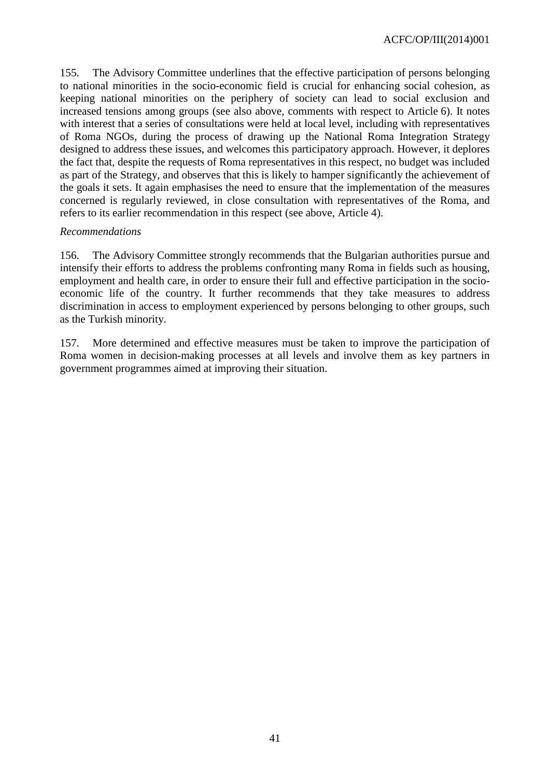155. The Advisory Committee underlines that the effective participation of persons belonging to national minorities in the socio-economic field is crucial for enhancing social cohesion, as keeping national minorities on the periphery of society can lead to social exclusion and increased tensions among groups (see also above, comments with respect to Article 6). It notes with interest that a series of consultations were held at local level, including with representatives of Roma NGOs, during the process of drawing up the National Roma Integration Strategy designed to address these issues, and welcomes this participatory approach. However, it deplores the fact that, despite the requests of Roma representatives in this respect, no budget was included as part of the Strategy, and observes that this is likely to hamper significantly the achievement of the goals it sets. It again emphasises the need to ensure that the implementation of the measures concerned is regularly reviewed, in close consultation with representatives of the Roma, and refers to its earlier recommendation in this respect (see above, Article 4).

### *Recommendations*

156. The Advisory Committee strongly recommends that the Bulgarian authorities pursue and intensify their efforts to address the problems confronting many Roma in fields such as housing, employment and health care, in order to ensure their full and effective participation in the socioeconomic life of the country. It further recommends that they take measures to address discrimination in access to employment experienced by persons belonging to other groups, such as the Turkish minority.

157. More determined and effective measures must be taken to improve the participation of Roma women in decision-making processes at all levels and involve them as key partners in government programmes aimed at improving their situation.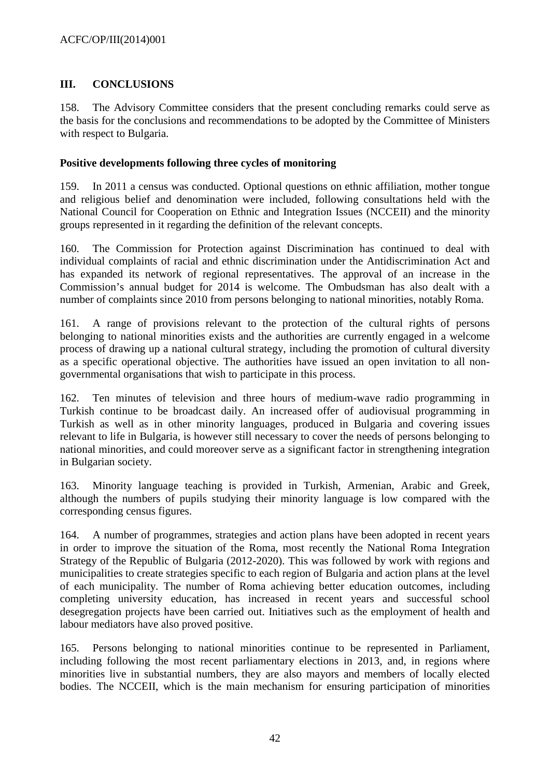# <span id="page-41-0"></span>**III. CONCLUSIONS**

158. The Advisory Committee considers that the present concluding remarks could serve as the basis for the conclusions and recommendations to be adopted by the Committee of Ministers with respect to Bulgaria.

### <span id="page-41-1"></span>**Positive developments following three cycles of monitoring**

159. In 2011 a census was conducted. Optional questions on ethnic affiliation, mother tongue and religious belief and denomination were included, following consultations held with the National Council for Cooperation on Ethnic and Integration Issues (NCCEII) and the minority groups represented in it regarding the definition of the relevant concepts.

160. The Commission for Protection against Discrimination has continued to deal with individual complaints of racial and ethnic discrimination under the Antidiscrimination Act and has expanded its network of regional representatives. The approval of an increase in the Commission's annual budget for 2014 is welcome. The Ombudsman has also dealt with a number of complaints since 2010 from persons belonging to national minorities, notably Roma.

161. A range of provisions relevant to the protection of the cultural rights of persons belonging to national minorities exists and the authorities are currently engaged in a welcome process of drawing up a national cultural strategy, including the promotion of cultural diversity as a specific operational objective. The authorities have issued an open invitation to all nongovernmental organisations that wish to participate in this process.

162. Ten minutes of television and three hours of medium-wave radio programming in Turkish continue to be broadcast daily. An increased offer of audiovisual programming in Turkish as well as in other minority languages, produced in Bulgaria and covering issues relevant to life in Bulgaria, is however still necessary to cover the needs of persons belonging to national minorities, and could moreover serve as a significant factor in strengthening integration in Bulgarian society.

163. Minority language teaching is provided in Turkish, Armenian, Arabic and Greek, although the numbers of pupils studying their minority language is low compared with the corresponding census figures.

164. A number of programmes, strategies and action plans have been adopted in recent years in order to improve the situation of the Roma, most recently the National Roma Integration Strategy of the Republic of Bulgaria (2012-2020). This was followed by work with regions and municipalities to create strategies specific to each region of Bulgaria and action plans at the level of each municipality. The number of Roma achieving better education outcomes, including completing university education, has increased in recent years and successful school desegregation projects have been carried out. Initiatives such as the employment of health and labour mediators have also proved positive.

165. Persons belonging to national minorities continue to be represented in Parliament, including following the most recent parliamentary elections in 2013, and, in regions where minorities live in substantial numbers, they are also mayors and members of locally elected bodies. The NCCEII, which is the main mechanism for ensuring participation of minorities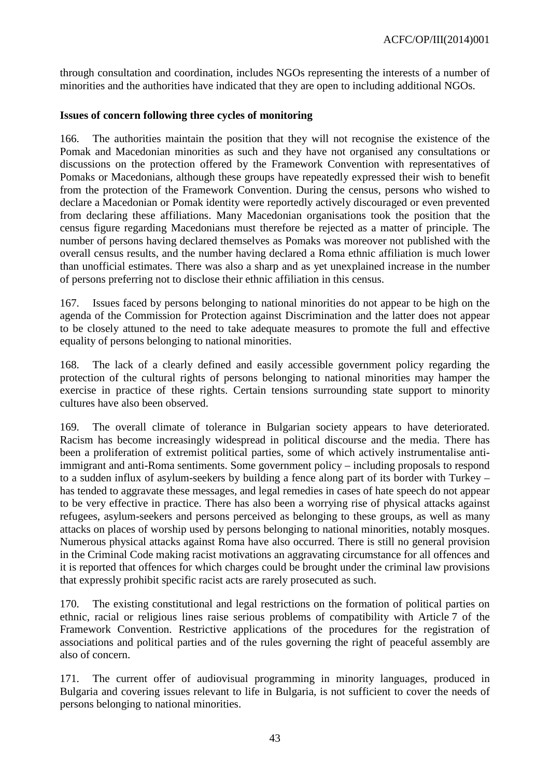through consultation and coordination, includes NGOs representing the interests of a number of minorities and the authorities have indicated that they are open to including additional NGOs.

### <span id="page-42-0"></span>**Issues of concern following three cycles of monitoring**

166. The authorities maintain the position that they will not recognise the existence of the Pomak and Macedonian minorities as such and they have not organised any consultations or discussions on the protection offered by the Framework Convention with representatives of Pomaks or Macedonians, although these groups have repeatedly expressed their wish to benefit from the protection of the Framework Convention. During the census, persons who wished to declare a Macedonian or Pomak identity were reportedly actively discouraged or even prevented from declaring these affiliations. Many Macedonian organisations took the position that the census figure regarding Macedonians must therefore be rejected as a matter of principle. The number of persons having declared themselves as Pomaks was moreover not published with the overall census results, and the number having declared a Roma ethnic affiliation is much lower than unofficial estimates. There was also a sharp and as yet unexplained increase in the number of persons preferring not to disclose their ethnic affiliation in this census.

167. Issues faced by persons belonging to national minorities do not appear to be high on the agenda of the Commission for Protection against Discrimination and the latter does not appear to be closely attuned to the need to take adequate measures to promote the full and effective equality of persons belonging to national minorities.

168. The lack of a clearly defined and easily accessible government policy regarding the protection of the cultural rights of persons belonging to national minorities may hamper the exercise in practice of these rights. Certain tensions surrounding state support to minority cultures have also been observed.

169. The overall climate of tolerance in Bulgarian society appears to have deteriorated. Racism has become increasingly widespread in political discourse and the media. There has been a proliferation of extremist political parties, some of which actively instrumentalise antiimmigrant and anti-Roma sentiments. Some government policy – including proposals to respond to a sudden influx of asylum-seekers by building a fence along part of its border with Turkey – has tended to aggravate these messages, and legal remedies in cases of hate speech do not appear to be very effective in practice. There has also been a worrying rise of physical attacks against refugees, asylum-seekers and persons perceived as belonging to these groups, as well as many attacks on places of worship used by persons belonging to national minorities, notably mosques. Numerous physical attacks against Roma have also occurred. There is still no general provision in the Criminal Code making racist motivations an aggravating circumstance for all offences and it is reported that offences for which charges could be brought under the criminal law provisions that expressly prohibit specific racist acts are rarely prosecuted as such.

170. The existing constitutional and legal restrictions on the formation of political parties on ethnic, racial or religious lines raise serious problems of compatibility with Article 7 of the Framework Convention. Restrictive applications of the procedures for the registration of associations and political parties and of the rules governing the right of peaceful assembly are also of concern.

171. The current offer of audiovisual programming in minority languages, produced in Bulgaria and covering issues relevant to life in Bulgaria, is not sufficient to cover the needs of persons belonging to national minorities.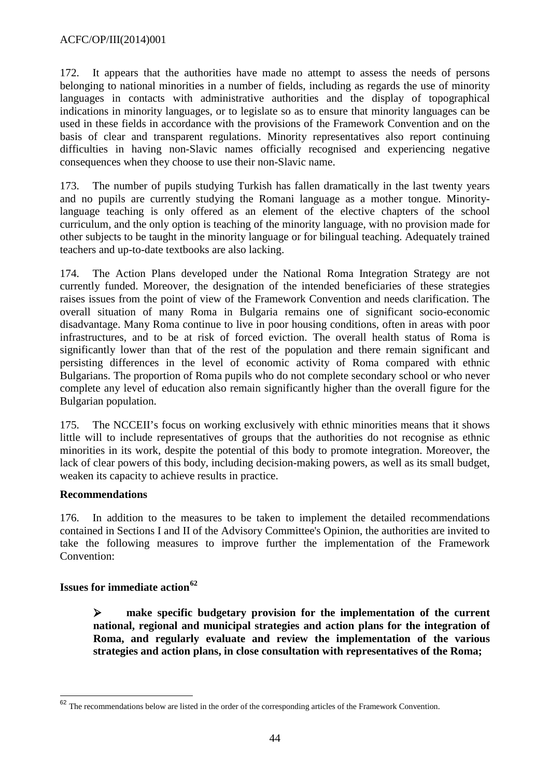172. It appears that the authorities have made no attempt to assess the needs of persons belonging to national minorities in a number of fields, including as regards the use of minority languages in contacts with administrative authorities and the display of topographical indications in minority languages, or to legislate so as to ensure that minority languages can be used in these fields in accordance with the provisions of the Framework Convention and on the basis of clear and transparent regulations. Minority representatives also report continuing difficulties in having non-Slavic names officially recognised and experiencing negative consequences when they choose to use their non-Slavic name.

173. The number of pupils studying Turkish has fallen dramatically in the last twenty years and no pupils are currently studying the Romani language as a mother tongue. Minoritylanguage teaching is only offered as an element of the elective chapters of the school curriculum, and the only option is teaching of the minority language, with no provision made for other subjects to be taught in the minority language or for bilingual teaching. Adequately trained teachers and up-to-date textbooks are also lacking.

174. The Action Plans developed under the National Roma Integration Strategy are not currently funded. Moreover, the designation of the intended beneficiaries of these strategies raises issues from the point of view of the Framework Convention and needs clarification. The overall situation of many Roma in Bulgaria remains one of significant socio-economic disadvantage. Many Roma continue to live in poor housing conditions, often in areas with poor infrastructures, and to be at risk of forced eviction. The overall health status of Roma is significantly lower than that of the rest of the population and there remain significant and persisting differences in the level of economic activity of Roma compared with ethnic Bulgarians. The proportion of Roma pupils who do not complete secondary school or who never complete any level of education also remain significantly higher than the overall figure for the Bulgarian population.

175. The NCCEII's focus on working exclusively with ethnic minorities means that it shows little will to include representatives of groups that the authorities do not recognise as ethnic minorities in its work, despite the potential of this body to promote integration. Moreover, the lack of clear powers of this body, including decision-making powers, as well as its small budget, weaken its capacity to achieve results in practice.

### **Recommendations**

 $\overline{a}$ 

176. In addition to the measures to be taken to implement the detailed recommendations contained in Sections I and II of the Advisory Committee's Opinion, the authorities are invited to take the following measures to improve further the implementation of the Framework Convention:

### <span id="page-43-0"></span>**Issues for immediate action[62](#page-43-1)**

 **make specific budgetary provision for the implementation of the current national, regional and municipal strategies and action plans for the integration of Roma, and regularly evaluate and review the implementation of the various strategies and action plans, in close consultation with representatives of the Roma;** 

<span id="page-43-1"></span> $62$  The recommendations below are listed in the order of the corresponding articles of the Framework Convention.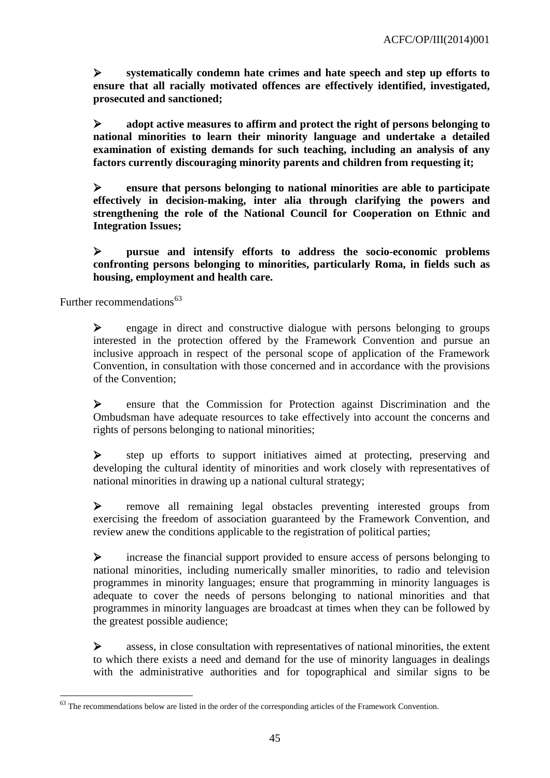**systematically condemn hate crimes and hate speech and step up efforts to ensure that all racially motivated offences are effectively identified, investigated, prosecuted and sanctioned;** 

 **adopt active measures to affirm and protect the right of persons belonging to national minorities to learn their minority language and undertake a detailed examination of existing demands for such teaching, including an analysis of any factors currently discouraging minority parents and children from requesting it;**

 **ensure that persons belonging to national minorities are able to participate effectively in decision-making, inter alia through clarifying the powers and strengthening the role of the National Council for Cooperation on Ethnic and Integration Issues;**

 **pursue and intensify efforts to address the socio-economic problems confronting persons belonging to minorities, particularly Roma, in fields such as housing, employment and health care.**

<span id="page-44-0"></span>Further recommendations $63$ 

 $\overline{\phantom{a}}$ 

 engage in direct and constructive dialogue with persons belonging to groups interested in the protection offered by the Framework Convention and pursue an inclusive approach in respect of the personal scope of application of the Framework Convention, in consultation with those concerned and in accordance with the provisions of the Convention;

 ensure that the Commission for Protection against Discrimination and the Ombudsman have adequate resources to take effectively into account the concerns and rights of persons belonging to national minorities;

 step up efforts to support initiatives aimed at protecting, preserving and developing the cultural identity of minorities and work closely with representatives of national minorities in drawing up a national cultural strategy;

 remove all remaining legal obstacles preventing interested groups from exercising the freedom of association guaranteed by the Framework Convention, and review anew the conditions applicable to the registration of political parties;

 increase the financial support provided to ensure access of persons belonging to national minorities, including numerically smaller minorities, to radio and television programmes in minority languages; ensure that programming in minority languages is adequate to cover the needs of persons belonging to national minorities and that programmes in minority languages are broadcast at times when they can be followed by the greatest possible audience;

 $\triangleright$  assess, in close consultation with representatives of national minorities, the extent to which there exists a need and demand for the use of minority languages in dealings with the administrative authorities and for topographical and similar signs to be

<span id="page-44-1"></span> $63$  The recommendations below are listed in the order of the corresponding articles of the Framework Convention.